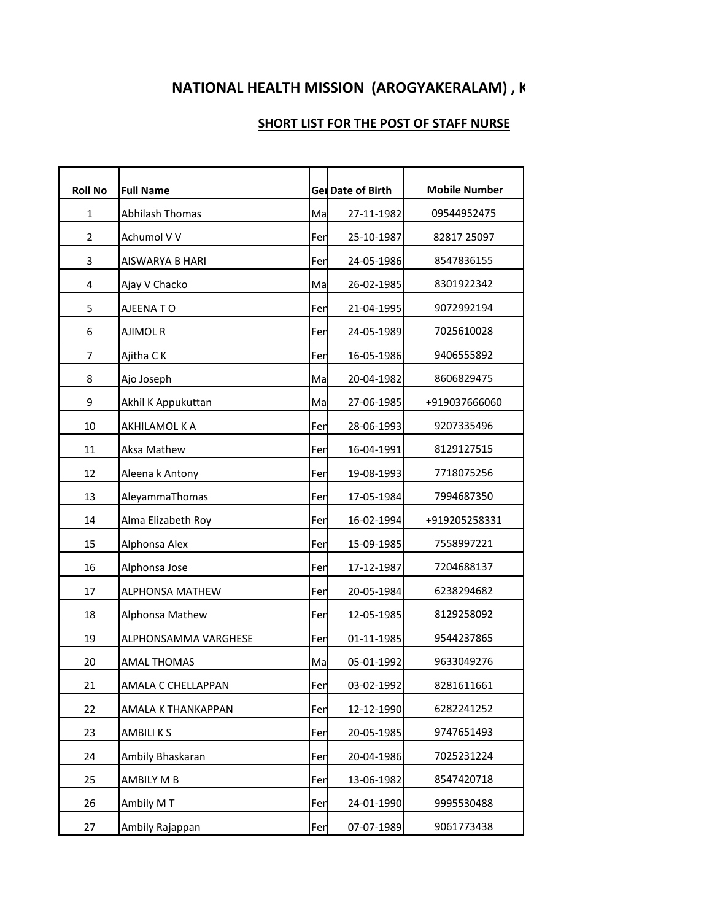## **NATIONAL HEALTH MISSION (AROGYAKERALAM), K**

## **SHORT LIST FOR THE POST OF STAFF NURSE**

| <b>Roll No</b> | <b>Full Name</b>       |     | Ger Date of Birth | <b>Mobile Number</b> |
|----------------|------------------------|-----|-------------------|----------------------|
| $\mathbf{1}$   | Abhilash Thomas        | Ma  | 27-11-1982        | 09544952475          |
| $\overline{2}$ | Achumol V V            | Fen | 25-10-1987        | 82817 25097          |
| 3              | AISWARYA B HARI        | Fen | 24-05-1986        | 8547836155           |
| 4              | Ajay V Chacko          | Ma  | 26-02-1985        | 8301922342           |
| 5              | AJEENA TO              | Fen | 21-04-1995        | 9072992194           |
| 6              | AJIMOL R               | Fen | 24-05-1989        | 7025610028           |
| 7              | Ajitha CK              | Fen | 16-05-1986        | 9406555892           |
| 8              | Ajo Joseph             | Ma  | 20-04-1982        | 8606829475           |
| 9              | Akhil K Appukuttan     | Ma  | 27-06-1985        | +919037666060        |
| 10             | AKHILAMOL K A          | Fen | 28-06-1993        | 9207335496           |
| 11             | Aksa Mathew            | Fen | 16-04-1991        | 8129127515           |
| 12             | Aleena k Antony        | Fen | 19-08-1993        | 7718075256           |
| 13             | AleyammaThomas         | Fen | 17-05-1984        | 7994687350           |
| 14             | Alma Elizabeth Roy     | Fen | 16-02-1994        | +919205258331        |
| 15             | Alphonsa Alex          | Fen | 15-09-1985        | 7558997221           |
| 16             | Alphonsa Jose          | Fen | 17-12-1987        | 7204688137           |
| 17             | <b>ALPHONSA MATHEW</b> | Fen | 20-05-1984        | 6238294682           |
| 18             | Alphonsa Mathew        | Fen | 12-05-1985        | 8129258092           |
| 19             | ALPHONSAMMA VARGHESE   | Fen | 01-11-1985        | 9544237865           |
| 20             | <b>AMAL THOMAS</b>     | Ma  | 05-01-1992        | 9633049276           |
| 21             | AMALA C CHELLAPPAN     | Fen | 03-02-1992        | 8281611661           |
| 22             | AMALA K THANKAPPAN     | Fen | 12-12-1990        | 6282241252           |
| 23             | AMBILI K S             | Fen | 20-05-1985        | 9747651493           |
| 24             | Ambily Bhaskaran       | Fen | 20-04-1986        | 7025231224           |
| 25             | AMBILY M B             | Fen | 13-06-1982        | 8547420718           |
| 26             | Ambily M T             | Fen | 24-01-1990        | 9995530488           |
| 27             | Ambily Rajappan        | Fen | 07-07-1989        | 9061773438           |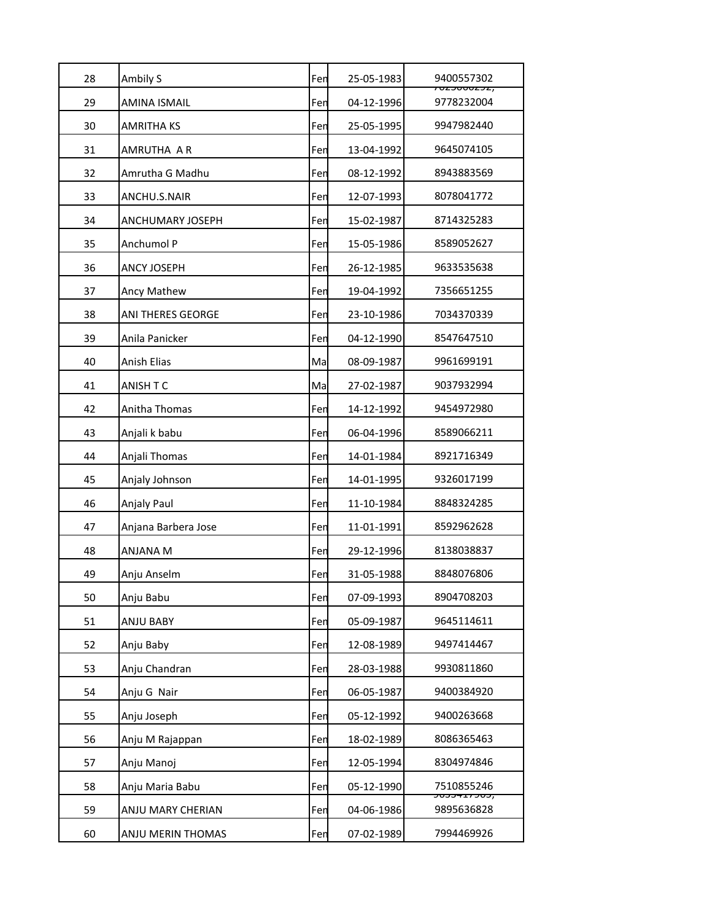| 28 | Ambily S                | Fen | 25-05-1983 | 9400557302<br><del>, סבטטטנאַט</del>  |
|----|-------------------------|-----|------------|---------------------------------------|
| 29 | <b>AMINA ISMAIL</b>     | Fen | 04-12-1996 | 9778232004                            |
| 30 | AMRITHA KS              | Fen | 25-05-1995 | 9947982440                            |
| 31 | AMRUTHA A R             | Fen | 13-04-1992 | 9645074105                            |
| 32 | Amrutha G Madhu         | Fen | 08-12-1992 | 8943883569                            |
| 33 | ANCHU.S.NAIR            | Fen | 12-07-1993 | 8078041772                            |
| 34 | <b>ANCHUMARY JOSEPH</b> | Fen | 15-02-1987 | 8714325283                            |
| 35 | Anchumol P              | Fen | 15-05-1986 | 8589052627                            |
| 36 | <b>ANCY JOSEPH</b>      | Fen | 26-12-1985 | 9633535638                            |
| 37 | Ancy Mathew             | Fen | 19-04-1992 | 7356651255                            |
| 38 | ANI THERES GEORGE       | Fen | 23-10-1986 | 7034370339                            |
| 39 | Anila Panicker          | Fen | 04-12-1990 | 8547647510                            |
| 40 | Anish Elias             | Ma  | 08-09-1987 | 9961699191                            |
| 41 | ANISH T C               | Ma  | 27-02-1987 | 9037932994                            |
| 42 | Anitha Thomas           | Fen | 14-12-1992 | 9454972980                            |
| 43 | Anjali k babu           | Fen | 06-04-1996 | 8589066211                            |
| 44 | Anjali Thomas           | Fen | 14-01-1984 | 8921716349                            |
| 45 | Anjaly Johnson          | Fen | 14-01-1995 | 9326017199                            |
| 46 | Anjaly Paul             | Fen | 11-10-1984 | 8848324285                            |
| 47 | Anjana Barbera Jose     | Fen | 11-01-1991 | 8592962628                            |
| 48 | <b>ANJANA M</b>         | Fen | 29-12-1996 | 8138038837                            |
| 49 | Anju Anselm             | Fen | 31-05-1988 | 8848076806                            |
| 50 | Anju Babu               | Fen | 07-09-1993 | 8904708203                            |
| 51 | ANJU BABY               | Fen | 05-09-1987 | 9645114611                            |
| 52 | Anju Baby               | Fen | 12-08-1989 | 9497414467                            |
| 53 | Anju Chandran           | Fen | 28-03-1988 | 9930811860                            |
| 54 | Anju G Nair             | Fen | 06-05-1987 | 9400384920                            |
| 55 | Anju Joseph             | Fen | 05-12-1992 | 9400263668                            |
| 56 | Anju M Rajappan         | Fen | 18-02-1989 | 8086365463                            |
| 57 | Anju Manoj              | Fen | 12-05-1994 | 8304974846                            |
| 58 | Anju Maria Babu         | Fen | 05-12-1990 | 7510855246                            |
| 59 | ANJU MARY CHERIAN       | Fen | 04-06-1986 | <del>,כטכ ובדככטל</del><br>9895636828 |
|    |                         |     |            |                                       |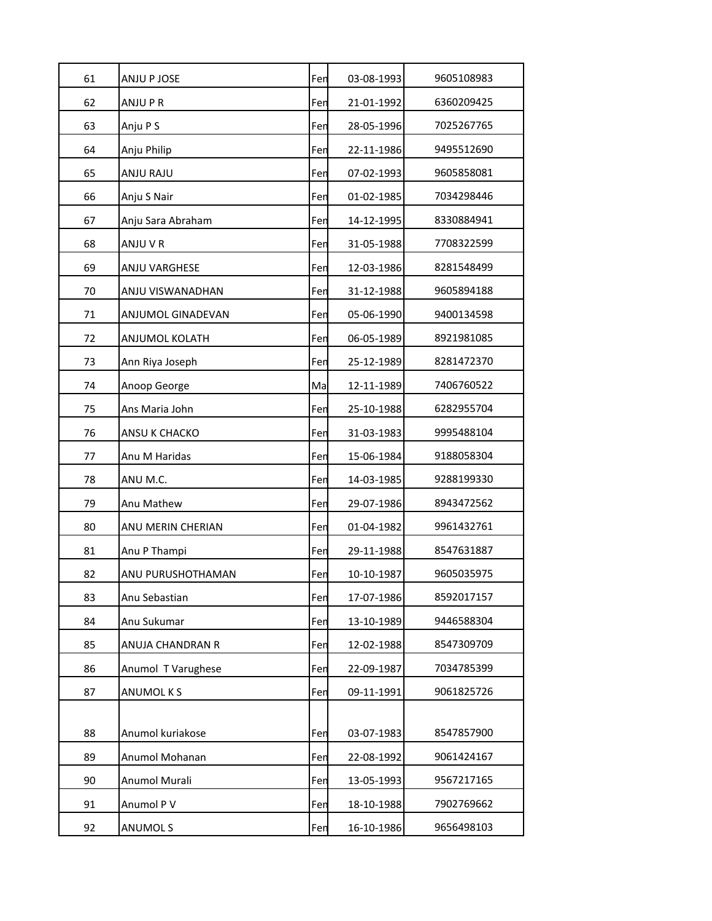| 61 | ANJU P JOSE              | Fen | 03-08-1993 | 9605108983 |
|----|--------------------------|-----|------------|------------|
| 62 | ANJU P R                 | Fen | 21-01-1992 | 6360209425 |
| 63 | Anju P S                 | Fen | 28-05-1996 | 7025267765 |
| 64 | Anju Philip              | Fen | 22-11-1986 | 9495512690 |
| 65 | ANJU RAJU                | Fen | 07-02-1993 | 9605858081 |
| 66 | Anju S Nair              | Fen | 01-02-1985 | 7034298446 |
| 67 | Anju Sara Abraham        | Fen | 14-12-1995 | 8330884941 |
| 68 | ANJU V R                 | Fen | 31-05-1988 | 7708322599 |
| 69 | ANJU VARGHESE            | Fen | 12-03-1986 | 8281548499 |
| 70 | ANJU VISWANADHAN         | Fen | 31-12-1988 | 9605894188 |
| 71 | <b>ANJUMOL GINADEVAN</b> | Fen | 05-06-1990 | 9400134598 |
| 72 | ANJUMOL KOLATH           | Fen | 06-05-1989 | 8921981085 |
| 73 | Ann Riya Joseph          | Fen | 25-12-1989 | 8281472370 |
| 74 | Anoop George             | Ma  | 12-11-1989 | 7406760522 |
| 75 | Ans Maria John           | Fen | 25-10-1988 | 6282955704 |
| 76 | ANSU K CHACKO            | Fen | 31-03-1983 | 9995488104 |
| 77 | Anu M Haridas            | Fen | 15-06-1984 | 9188058304 |
| 78 | ANU M.C.                 | Fen | 14-03-1985 | 9288199330 |
| 79 | Anu Mathew               | Fen | 29-07-1986 | 8943472562 |
| 80 | ANU MERIN CHERIAN        | Fen | 01-04-1982 | 9961432761 |
| 81 | Anu P Thampi             | Fen | 29-11-1988 | 8547631887 |
| 82 | ANU PURUSHOTHAMAN        | Fen | 10-10-1987 | 9605035975 |
| 83 | Anu Sebastian            | Fen | 17-07-1986 | 8592017157 |
| 84 | Anu Sukumar              | Fen | 13-10-1989 | 9446588304 |
| 85 | ANUJA CHANDRAN R         | Fen | 12-02-1988 | 8547309709 |
| 86 | Anumol T Varughese       | Fen | 22-09-1987 | 7034785399 |
| 87 | ANUMOL K S               | Fen | 09-11-1991 | 9061825726 |
|    |                          |     |            |            |
| 88 | Anumol kuriakose         | Fen | 03-07-1983 | 8547857900 |
| 89 | Anumol Mohanan           | Fen | 22-08-1992 | 9061424167 |
| 90 | Anumol Murali            | Fen | 13-05-1993 | 9567217165 |
| 91 | Anumol P V               | Fen | 18-10-1988 | 7902769662 |
| 92 | ANUMOL S                 | Fen | 16-10-1986 | 9656498103 |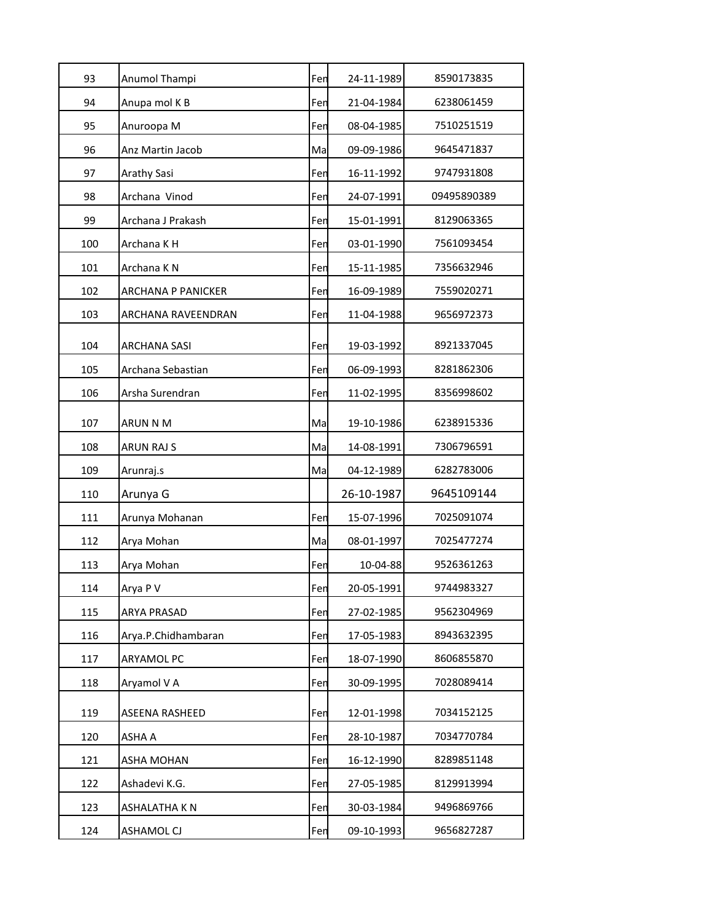| 93  | Anumol Thampi             | Fen | 24-11-1989 | 8590173835  |
|-----|---------------------------|-----|------------|-------------|
| 94  | Anupa mol K B             | Fen | 21-04-1984 | 6238061459  |
| 95  | Anuroopa M                | Fen | 08-04-1985 | 7510251519  |
| 96  | Anz Martin Jacob          | Ma  | 09-09-1986 | 9645471837  |
| 97  | Arathy Sasi               | Fen | 16-11-1992 | 9747931808  |
| 98  | Archana Vinod             | Fen | 24-07-1991 | 09495890389 |
| 99  | Archana J Prakash         | Fen | 15-01-1991 | 8129063365  |
| 100 | Archana K H               | Fen | 03-01-1990 | 7561093454  |
| 101 | Archana K N               | Fen | 15-11-1985 | 7356632946  |
| 102 | <b>ARCHANA P PANICKER</b> | Fen | 16-09-1989 | 7559020271  |
| 103 | ARCHANA RAVEENDRAN        | Fen | 11-04-1988 | 9656972373  |
| 104 | <b>ARCHANA SASI</b>       | Fen | 19-03-1992 | 8921337045  |
| 105 | Archana Sebastian         | Fen | 06-09-1993 | 8281862306  |
| 106 | Arsha Surendran           | Fen | 11-02-1995 | 8356998602  |
| 107 | ARUN N M                  | Ma  | 19-10-1986 | 6238915336  |
| 108 | <b>ARUN RAJ S</b>         | Ma  | 14-08-1991 | 7306796591  |
| 109 | Arunraj.s                 | Ma  | 04-12-1989 | 6282783006  |
| 110 | Arunya G                  |     | 26-10-1987 | 9645109144  |
| 111 | Arunya Mohanan            | Fen | 15-07-1996 | 7025091074  |
| 112 | Arya Mohan                | Ma  | 08-01-1997 | 7025477274  |
| 113 | Arya Mohan                | Fen | 10-04-88   | 9526361263  |
| 114 | Arya P V                  | Fen | 20-05-1991 | 9744983327  |
| 115 | <b>ARYA PRASAD</b>        | Fen | 27-02-1985 | 9562304969  |
| 116 | Arya.P.Chidhambaran       | Fen | 17-05-1983 | 8943632395  |
| 117 | <b>ARYAMOL PC</b>         | Fen | 18-07-1990 | 8606855870  |
| 118 | Aryamol V A               | Fen | 30-09-1995 | 7028089414  |
| 119 | ASEENA RASHEED            | Fen | 12-01-1998 | 7034152125  |
| 120 | ASHA A                    | Fen | 28-10-1987 | 7034770784  |
| 121 | ASHA MOHAN                | Fen | 16-12-1990 | 8289851148  |
| 122 | Ashadevi K.G.             | Fen | 27-05-1985 | 8129913994  |
| 123 | ASHALATHA K N             | Fen | 30-03-1984 | 9496869766  |
| 124 | ASHAMOL CJ                | Fen | 09-10-1993 | 9656827287  |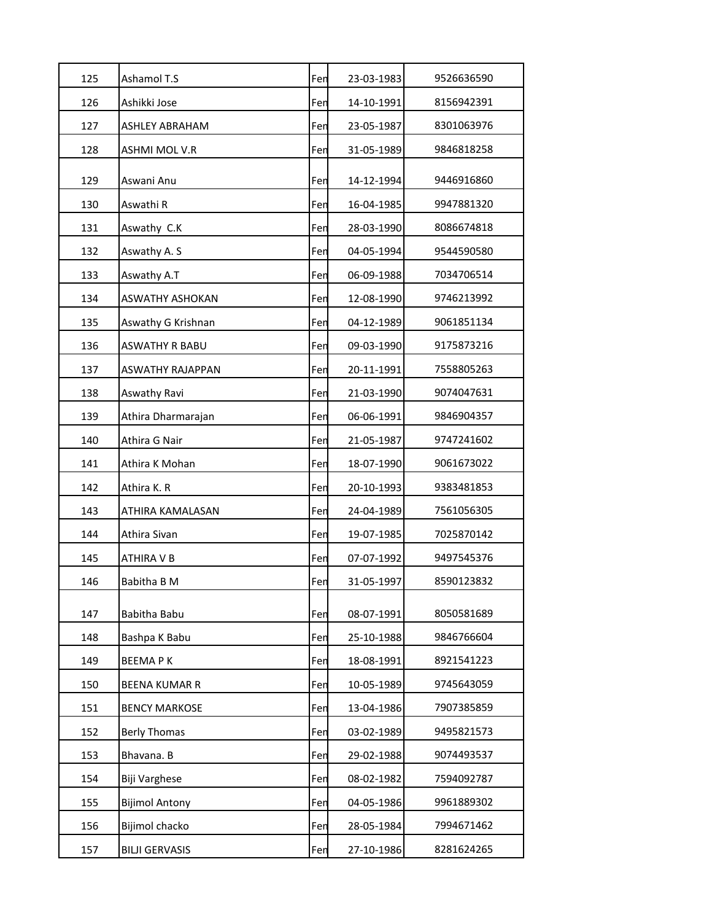| 125 | Ashamol T.S             | Fen | 23-03-1983 | 9526636590 |
|-----|-------------------------|-----|------------|------------|
| 126 | Ashikki Jose            | Fen | 14-10-1991 | 8156942391 |
| 127 | ASHLEY ABRAHAM          | Fen | 23-05-1987 | 8301063976 |
| 128 | ASHMI MOL V.R           | Fen | 31-05-1989 | 9846818258 |
| 129 | Aswani Anu              | Fen | 14-12-1994 | 9446916860 |
| 130 | Aswathi R               | Fen | 16-04-1985 | 9947881320 |
| 131 | Aswathy C.K             | Fen | 28-03-1990 | 8086674818 |
| 132 | Aswathy A.S             | Fen | 04-05-1994 | 9544590580 |
| 133 | Aswathy A.T             | Fen | 06-09-1988 | 7034706514 |
| 134 | ASWATHY ASHOKAN         | Fen | 12-08-1990 | 9746213992 |
| 135 | Aswathy G Krishnan      | Fen | 04-12-1989 | 9061851134 |
| 136 | ASWATHY R BABU          | Fen | 09-03-1990 | 9175873216 |
| 137 | <b>ASWATHY RAJAPPAN</b> | Fen | 20-11-1991 | 7558805263 |
| 138 | Aswathy Ravi            | Fen | 21-03-1990 | 9074047631 |
| 139 | Athira Dharmarajan      | Fen | 06-06-1991 | 9846904357 |
| 140 | Athira G Nair           | Fen | 21-05-1987 | 9747241602 |
| 141 | Athira K Mohan          | Fen | 18-07-1990 | 9061673022 |
| 142 | Athira K. R             | Fen | 20-10-1993 | 9383481853 |
| 143 | ATHIRA KAMALASAN        | Fen | 24-04-1989 | 7561056305 |
| 144 | Athira Sivan            | Fen | 19-07-1985 | 7025870142 |
| 145 | ATHIRA V B              | Fen | 07-07-1992 | 9497545376 |
| 146 | Babitha B M             | Fen | 31-05-1997 | 8590123832 |
| 147 | Babitha Babu            | Fen | 08-07-1991 | 8050581689 |
| 148 | Bashpa K Babu           | Fen | 25-10-1988 | 9846766604 |
| 149 | <b>BEEMAPK</b>          | Fen | 18-08-1991 | 8921541223 |
| 150 | <b>BEENA KUMAR R</b>    | Fen | 10-05-1989 | 9745643059 |
| 151 | <b>BENCY MARKOSE</b>    | Fen | 13-04-1986 | 7907385859 |
| 152 | <b>Berly Thomas</b>     | Fen | 03-02-1989 | 9495821573 |
| 153 | Bhavana. B              | Fen | 29-02-1988 | 9074493537 |
| 154 | Biji Varghese           | Fen | 08-02-1982 | 7594092787 |
| 155 | <b>Bijimol Antony</b>   | Fen | 04-05-1986 | 9961889302 |
| 156 | Bijimol chacko          | Fen | 28-05-1984 | 7994671462 |
| 157 | <b>BILJI GERVASIS</b>   | Fen | 27-10-1986 | 8281624265 |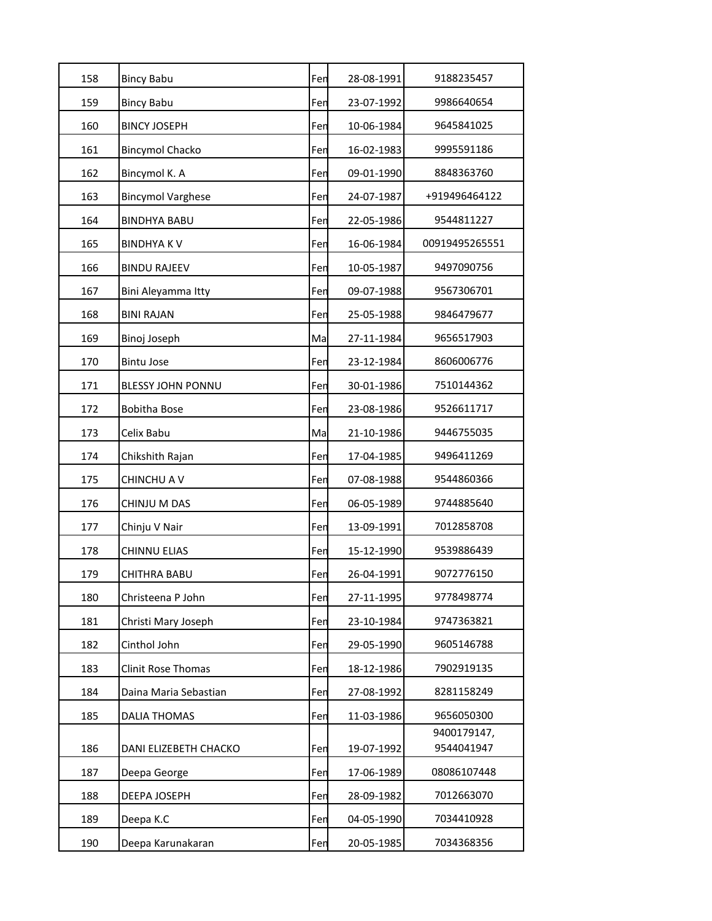| 158 | <b>Bincy Babu</b>        | Fen | 28-08-1991 | 9188235457                |
|-----|--------------------------|-----|------------|---------------------------|
| 159 | <b>Bincy Babu</b>        | Fen | 23-07-1992 | 9986640654                |
| 160 | <b>BINCY JOSEPH</b>      | Fen | 10-06-1984 | 9645841025                |
| 161 | <b>Bincymol Chacko</b>   | Fen | 16-02-1983 | 9995591186                |
| 162 | Bincymol K. A            | Fen | 09-01-1990 | 8848363760                |
| 163 | <b>Bincymol Varghese</b> | Fen | 24-07-1987 | +919496464122             |
| 164 | <b>BINDHYA BABU</b>      | Fen | 22-05-1986 | 9544811227                |
| 165 | <b>BINDHYAKV</b>         | Fen | 16-06-1984 | 00919495265551            |
| 166 | <b>BINDU RAJEEV</b>      | Fen | 10-05-1987 | 9497090756                |
| 167 | Bini Aleyamma Itty       | Fen | 09-07-1988 | 9567306701                |
| 168 | <b>BINI RAJAN</b>        | Fen | 25-05-1988 | 9846479677                |
| 169 | Binoj Joseph             | Ma  | 27-11-1984 | 9656517903                |
| 170 | <b>Bintu Jose</b>        | Fen | 23-12-1984 | 8606006776                |
| 171 | <b>BLESSY JOHN PONNU</b> | Fen | 30-01-1986 | 7510144362                |
| 172 | <b>Bobitha Bose</b>      | Fen | 23-08-1986 | 9526611717                |
| 173 | Celix Babu               | Ma  | 21-10-1986 | 9446755035                |
| 174 | Chikshith Rajan          | Fen | 17-04-1985 | 9496411269                |
| 175 | CHINCHU A V              | Fen | 07-08-1988 | 9544860366                |
| 176 | CHINJU M DAS             | Fen | 06-05-1989 | 9744885640                |
| 177 | Chinju V Nair            | Fen | 13-09-1991 | 7012858708                |
| 178 | <b>CHINNU ELIAS</b>      | Fen | 15-12-1990 | 9539886439                |
| 179 | CHITHRA BABU             | Fen | 26-04-1991 | 9072776150                |
| 180 | Christeena P John        | Fen | 27-11-1995 | 9778498774                |
| 181 | Christi Mary Joseph      | Fen | 23-10-1984 | 9747363821                |
| 182 | Cinthol John             | Fen | 29-05-1990 | 9605146788                |
| 183 | Clinit Rose Thomas       | Fen | 18-12-1986 | 7902919135                |
| 184 | Daina Maria Sebastian    | Fen | 27-08-1992 | 8281158249                |
| 185 | <b>DALIA THOMAS</b>      | Fen | 11-03-1986 | 9656050300                |
| 186 | DANI ELIZEBETH CHACKO    | Fen | 19-07-1992 | 9400179147,<br>9544041947 |
| 187 | Deepa George             | Fen | 17-06-1989 | 08086107448               |
| 188 | DEEPA JOSEPH             | Fen | 28-09-1982 | 7012663070                |
| 189 | Deepa K.C                | Fen | 04-05-1990 | 7034410928                |
| 190 | Deepa Karunakaran        | Fen | 20-05-1985 | 7034368356                |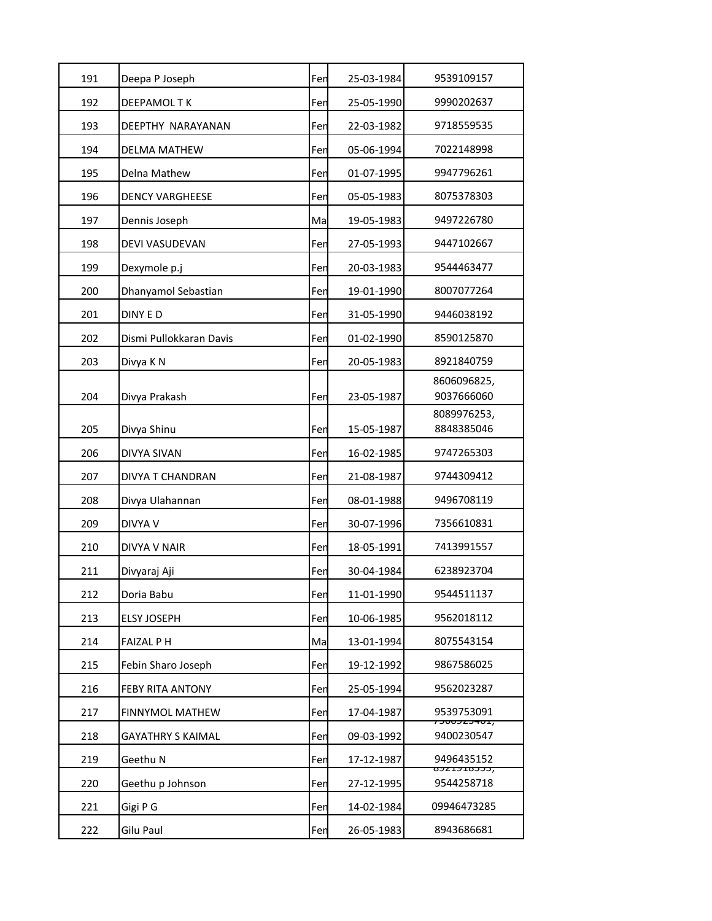| 191 | Deepa P Joseph           | Fen | 25-03-1984 | 9539109157                               |
|-----|--------------------------|-----|------------|------------------------------------------|
| 192 | <b>DEEPAMOLTK</b>        | Fen | 25-05-1990 | 9990202637                               |
| 193 | DEEPTHY NARAYANAN        | Fen | 22-03-1982 | 9718559535                               |
| 194 | <b>DELMA MATHEW</b>      | Fen | 05-06-1994 | 7022148998                               |
| 195 | Delna Mathew             | Fen | 01-07-1995 | 9947796261                               |
| 196 | <b>DENCY VARGHEESE</b>   | Fen | 05-05-1983 | 8075378303                               |
| 197 | Dennis Joseph            | Ma  | 19-05-1983 | 9497226780                               |
| 198 | DEVI VASUDEVAN           | Fen | 27-05-1993 | 9447102667                               |
| 199 | Dexymole p.j             | Fen | 20-03-1983 | 9544463477                               |
| 200 | Dhanyamol Sebastian      | Fen | 19-01-1990 | 8007077264                               |
| 201 | DINY E D                 | Fen | 31-05-1990 | 9446038192                               |
| 202 | Dismi Pullokkaran Davis  | Fen | 01-02-1990 | 8590125870                               |
| 203 | Divya K N                | Fen | 20-05-1983 | 8921840759                               |
| 204 | Divya Prakash            | Fen | 23-05-1987 | 8606096825,<br>9037666060                |
| 205 | Divya Shinu              | Fen | 15-05-1987 | 8089976253,<br>8848385046                |
| 206 | DIVYA SIVAN              | Fen | 16-02-1985 | 9747265303                               |
| 207 | DIVYA T CHANDRAN         | Fen | 21-08-1987 | 9744309412                               |
| 208 | Divya Ulahannan          | Fen | 08-01-1988 | 9496708119                               |
| 209 | DIVYA V                  | Fen | 30-07-1996 | 7356610831                               |
| 210 | DIVYA V NAIR             | Fen | 18-05-1991 | 7413991557                               |
| 211 | Divyaraj Aji             | Fen | 30-04-1984 | 6238923704                               |
| 212 | Doria Babu               | Fen | 11-01-1990 | 9544511137                               |
| 213 | <b>ELSY JOSEPH</b>       | Fen | 10-06-1985 | 9562018112                               |
| 214 | <b>FAIZAL PH</b>         | Ma  | 13-01-1994 | 8075543154                               |
| 215 | Febin Sharo Joseph       | Fen | 19-12-1992 | 9867586025                               |
| 216 | FEBY RITA ANTONY         | Fen | 25-05-1994 | 9562023287                               |
| 217 | <b>FINNYMOL MATHEW</b>   | Fen | 17-04-1987 | 9539753091                               |
| 218 | <b>GAYATHRY S KAIMAL</b> | Fen | 09-03-1992 | <del>, בטויכ בכטטכ ז</del><br>9400230547 |
| 219 | Geethu N                 | Fen | 17-12-1987 | 9496435152                               |
| 220 | Geethu p Johnson         | Fen | 27-12-1995 | <del>0221210333,</del><br>9544258718     |
| 221 | Gigi P G                 | Fen | 14-02-1984 | 09946473285                              |
| 222 | Gilu Paul                | Fen | 26-05-1983 | 8943686681                               |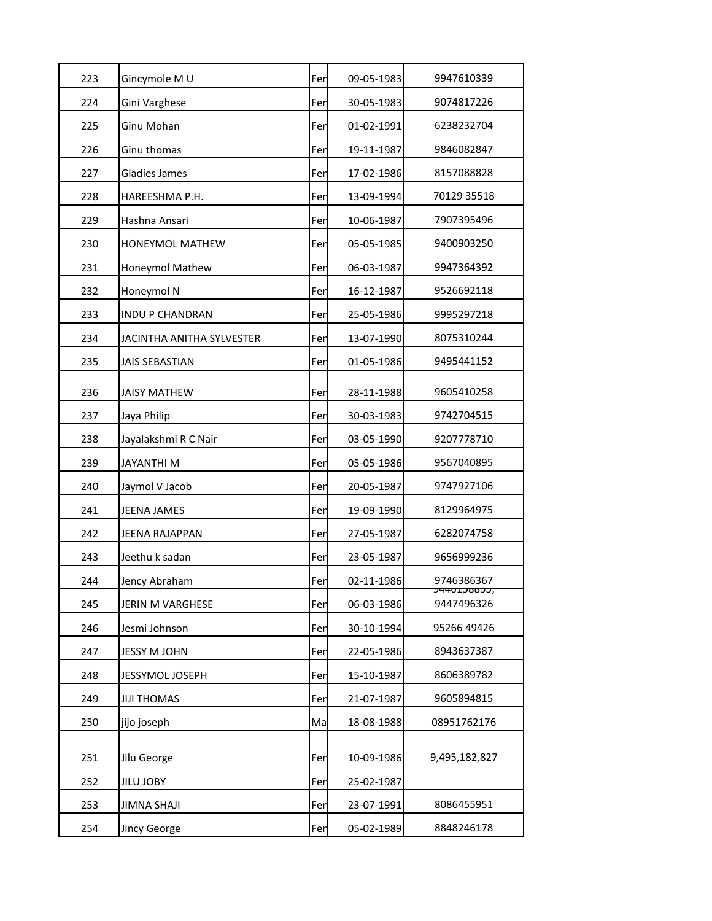| 223 | Gincymole M U             | Fen | 09-05-1983 | 9947610339                           |
|-----|---------------------------|-----|------------|--------------------------------------|
| 224 | Gini Varghese             | Fen | 30-05-1983 | 9074817226                           |
| 225 | Ginu Mohan                | Fen | 01-02-1991 | 6238232704                           |
| 226 | Ginu thomas               | Fen | 19-11-1987 | 9846082847                           |
| 227 | Gladies James             | Fen | 17-02-1986 | 8157088828                           |
| 228 | HAREESHMA P.H.            | Fen | 13-09-1994 | 70129 35518                          |
| 229 | Hashna Ansari             | Fen | 10-06-1987 | 7907395496                           |
| 230 | HONEYMOL MATHEW           | Fen | 05-05-1985 | 9400903250                           |
| 231 | Honeymol Mathew           | Fen | 06-03-1987 | 9947364392                           |
| 232 | Honeymol N                | Fen | 16-12-1987 | 9526692118                           |
| 233 | <b>INDU P CHANDRAN</b>    | Fen | 25-05-1986 | 9995297218                           |
| 234 | JACINTHA ANITHA SYLVESTER | Fen | 13-07-1990 | 8075310244                           |
| 235 | <b>JAIS SEBASTIAN</b>     | Fen | 01-05-1986 | 9495441152                           |
| 236 | <b>JAISY MATHEW</b>       | Fen | 28-11-1988 | 9605410258                           |
| 237 | Jaya Philip               | Fen | 30-03-1983 | 9742704515                           |
| 238 | Jayalakshmi R C Nair      | Fen | 03-05-1990 | 9207778710                           |
| 239 | JAYANTHI M                | Fen | 05-05-1986 | 9567040895                           |
| 240 | Jaymol V Jacob            | Fen | 20-05-1987 | 9747927106                           |
| 241 | <b>JEENA JAMES</b>        | Fen | 19-09-1990 | 8129964975                           |
| 242 | JEENA RAJAPPAN            | Fen | 27-05-1987 | 6282074758                           |
| 243 | Jeethu k sadan            | Fen | 23-05-1987 | 9656999236                           |
| 244 | Jency Abraham             | Fen | 02-11-1986 | 9746386367                           |
| 245 | JERIN M VARGHESE          | Fen | 06-03-1986 | <del>J4401J8855,</del><br>9447496326 |
| 246 | Jesmi Johnson             | Fen | 30-10-1994 | 95266 49426                          |
| 247 | JESSY M JOHN              | Fen | 22-05-1986 | 8943637387                           |
| 248 | JESSYMOL JOSEPH           | Fen | 15-10-1987 | 8606389782                           |
| 249 | <b>JIJI THOMAS</b>        | Fen | 21-07-1987 | 9605894815                           |
| 250 | jijo joseph               | Ma  | 18-08-1988 | 08951762176                          |
| 251 | Jilu George               | Fen | 10-09-1986 | 9,495,182,827                        |
| 252 | <b>JILU JOBY</b>          | Fen | 25-02-1987 |                                      |
| 253 | JIMNA SHAJI               | Fen | 23-07-1991 | 8086455951                           |
| 254 | Jincy George              | Fen | 05-02-1989 | 8848246178                           |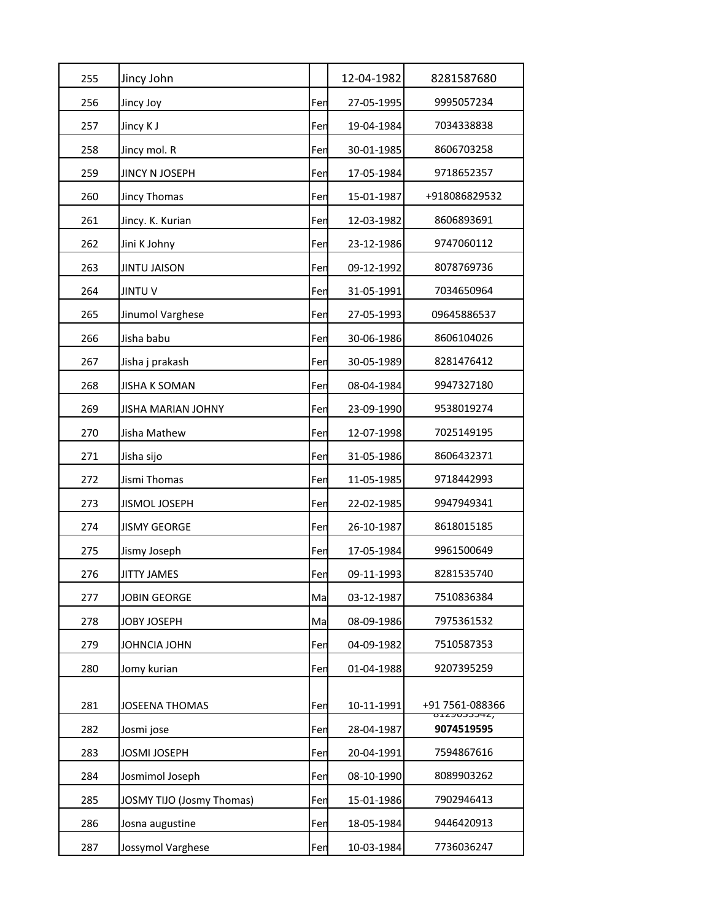| 255 | Jincy John                       |     | 12-04-1982 | 8281587680                                 |
|-----|----------------------------------|-----|------------|--------------------------------------------|
| 256 | Jincy Joy                        | Fen | 27-05-1995 | 9995057234                                 |
| 257 | Jincy K J                        | Fen | 19-04-1984 | 7034338838                                 |
| 258 | Jincy mol. R                     | Fen | 30-01-1985 | 8606703258                                 |
| 259 | JINCY N JOSEPH                   | Fen | 17-05-1984 | 9718652357                                 |
| 260 | Jincy Thomas                     | Fen | 15-01-1987 | +918086829532                              |
| 261 | Jincy. K. Kurian                 | Fen | 12-03-1982 | 8606893691                                 |
| 262 | Jini K Johny                     | Fen | 23-12-1986 | 9747060112                                 |
| 263 | JINTU JAISON                     | Fen | 09-12-1992 | 8078769736                                 |
| 264 | <b>JINTUV</b>                    | Fen | 31-05-1991 | 7034650964                                 |
| 265 | Jinumol Varghese                 | Fen | 27-05-1993 | 09645886537                                |
| 266 | Jisha babu                       | Fen | 30-06-1986 | 8606104026                                 |
| 267 | Jisha j prakash                  | Fen | 30-05-1989 | 8281476412                                 |
| 268 | <b>JISHA K SOMAN</b>             | Fen | 08-04-1984 | 9947327180                                 |
| 269 | <b>JISHA MARIAN JOHNY</b>        | Fen | 23-09-1990 | 9538019274                                 |
| 270 | Jisha Mathew                     | Fen | 12-07-1998 | 7025149195                                 |
| 271 | Jisha sijo                       | Fen | 31-05-1986 | 8606432371                                 |
| 272 | Jismi Thomas                     | Fen | 11-05-1985 | 9718442993                                 |
| 273 | <b>JISMOL JOSEPH</b>             | Fen | 22-02-1985 | 9947949341                                 |
| 274 | <b>JISMY GEORGE</b>              | Fen | 26-10-1987 | 8618015185                                 |
| 275 | Jismy Joseph                     | Fen | 17-05-1984 | 9961500649                                 |
| 276 | <b>JITTY JAMES</b>               | Fen | 09-11-1993 | 8281535740                                 |
| 277 | <b>JOBIN GEORGE</b>              | Ma  | 03-12-1987 | 7510836384                                 |
| 278 | JOBY JOSEPH                      | Ma  | 08-09-1986 | 7975361532                                 |
| 279 | JOHNCIA JOHN                     | Fen | 04-09-1982 | 7510587353                                 |
| 280 | Jomy kurian                      | Fen | 01-04-1988 | 9207395259                                 |
|     |                                  |     |            |                                            |
| 281 | <b>JOSEENA THOMAS</b>            | Fen | 10-11-1991 | +91 7561-088366<br><del>, ג+ככטכ</del> בבס |
| 282 | Josmi jose                       | Fen | 28-04-1987 | 9074519595                                 |
| 283 | JOSMI JOSEPH                     | Fen | 20-04-1991 | 7594867616                                 |
| 284 | Josmimol Joseph                  | Fen | 08-10-1990 | 8089903262                                 |
| 285 | <b>JOSMY TIJO (Josmy Thomas)</b> | Fen | 15-01-1986 | 7902946413                                 |
| 286 | Josna augustine                  | Fen | 18-05-1984 | 9446420913                                 |
| 287 | Jossymol Varghese                | Fen | 10-03-1984 | 7736036247                                 |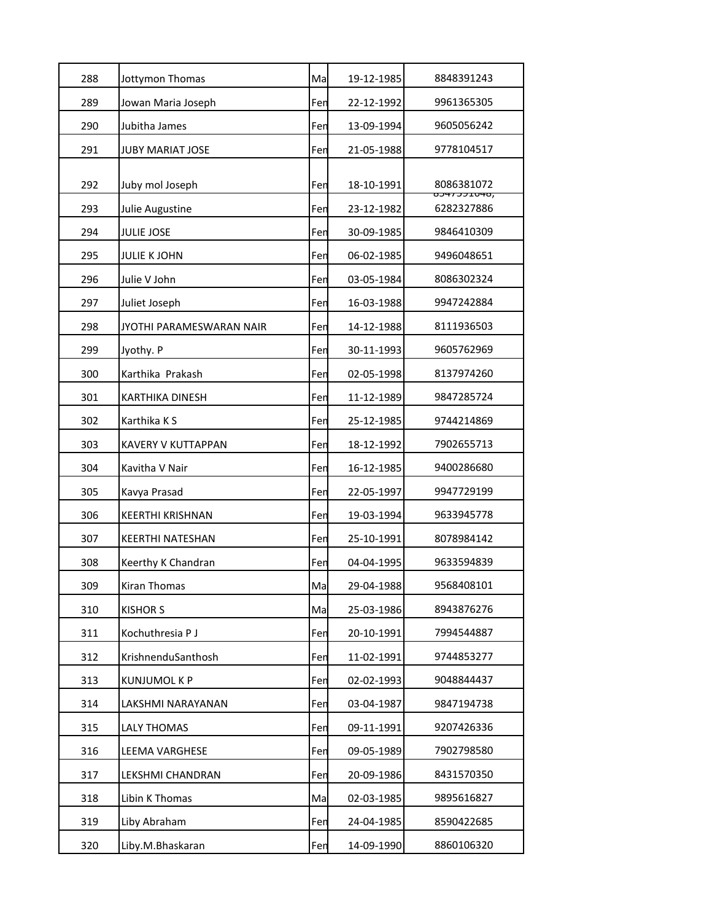| 288 | Jottymon Thomas           | Ma  | 19-12-1985 | 8848391243                           |
|-----|---------------------------|-----|------------|--------------------------------------|
| 289 | Jowan Maria Joseph        | Fen | 22-12-1992 | 9961365305                           |
| 290 | Jubitha James             | Fen | 13-09-1994 | 9605056242                           |
| 291 | <b>JUBY MARIAT JOSE</b>   | Fen | 21-05-1988 | 9778104517                           |
|     |                           |     |            |                                      |
| 292 | Juby mol Joseph           | Fen | 18-10-1991 | 8086381072<br><del>0J47JJI040,</del> |
| 293 | Julie Augustine           | Fen | 23-12-1982 | 6282327886                           |
| 294 | <b>JULIE JOSE</b>         | Fen | 30-09-1985 | 9846410309                           |
| 295 | <b>JULIE K JOHN</b>       | Fen | 06-02-1985 | 9496048651                           |
| 296 | Julie V John              | Fen | 03-05-1984 | 8086302324                           |
| 297 | Juliet Joseph             | Fen | 16-03-1988 | 9947242884                           |
| 298 | JYOTHI PARAMESWARAN NAIR  | Fen | 14-12-1988 | 8111936503                           |
| 299 | Jyothy. P                 | Fen | 30-11-1993 | 9605762969                           |
| 300 | Karthika Prakash          | Fen | 02-05-1998 | 8137974260                           |
| 301 | <b>KARTHIKA DINESH</b>    | Fen | 11-12-1989 | 9847285724                           |
| 302 | Karthika K S              | Fen | 25-12-1985 | 9744214869                           |
| 303 | <b>KAVERY V KUTTAPPAN</b> | Fen | 18-12-1992 | 7902655713                           |
| 304 | Kavitha V Nair            | Fen | 16-12-1985 | 9400286680                           |
| 305 | Kavya Prasad              | Fen | 22-05-1997 | 9947729199                           |
| 306 | <b>KEERTHI KRISHNAN</b>   | Fen | 19-03-1994 | 9633945778                           |
| 307 | <b>KEERTHI NATESHAN</b>   | Fen | 25-10-1991 | 8078984142                           |
| 308 | Keerthy K Chandran        | Fen | 04-04-1995 | 9633594839                           |
| 309 | Kiran Thomas              | Ma  | 29-04-1988 | 9568408101                           |
| 310 | <b>KISHOR S</b>           | Ma  | 25-03-1986 | 8943876276                           |
| 311 | Kochuthresia P J          | Fen | 20-10-1991 | 7994544887                           |
| 312 | KrishnenduSanthosh        | Fen | 11-02-1991 | 9744853277                           |
| 313 | <b>KUNJUMOL K P</b>       | Fen | 02-02-1993 | 9048844437                           |
| 314 | LAKSHMI NARAYANAN         | Fen | 03-04-1987 | 9847194738                           |
| 315 | <b>LALY THOMAS</b>        | Fen | 09-11-1991 | 9207426336                           |
| 316 | LEEMA VARGHESE            | Fen | 09-05-1989 | 7902798580                           |
| 317 | LEKSHMI CHANDRAN          | Fen | 20-09-1986 | 8431570350                           |
| 318 | Libin K Thomas            | Ma  | 02-03-1985 | 9895616827                           |
| 319 | Liby Abraham              | Fen | 24-04-1985 | 8590422685                           |
| 320 | Liby.M.Bhaskaran          | Fen | 14-09-1990 | 8860106320                           |
|     |                           |     |            |                                      |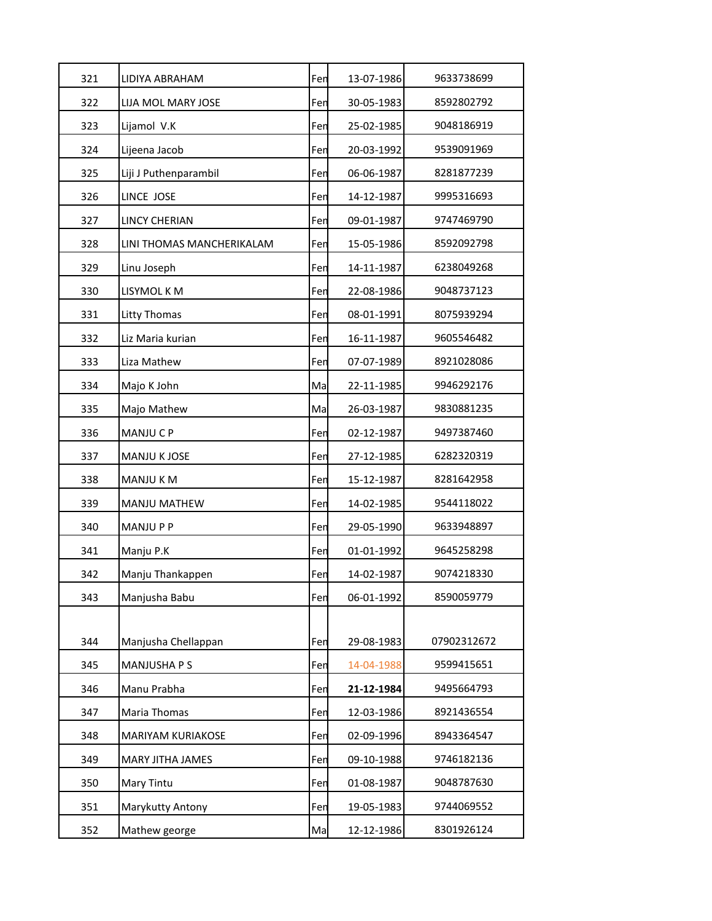| 321 | LIDIYA ABRAHAM            | Fen | 13-07-1986 | 9633738699  |
|-----|---------------------------|-----|------------|-------------|
| 322 | LIJA MOL MARY JOSE        | Fen | 30-05-1983 | 8592802792  |
| 323 | Lijamol V.K               | Fen | 25-02-1985 | 9048186919  |
| 324 | Lijeena Jacob             | Fen | 20-03-1992 | 9539091969  |
| 325 | Liji J Puthenparambil     | Fen | 06-06-1987 | 8281877239  |
| 326 | LINCE JOSE                | Fen | 14-12-1987 | 9995316693  |
| 327 | <b>LINCY CHERIAN</b>      | Fen | 09-01-1987 | 9747469790  |
| 328 | LINI THOMAS MANCHERIKALAM | Fen | 15-05-1986 | 8592092798  |
| 329 | Linu Joseph               | Fen | 14-11-1987 | 6238049268  |
| 330 | LISYMOL K M               | Fen | 22-08-1986 | 9048737123  |
| 331 | Litty Thomas              | Fen | 08-01-1991 | 8075939294  |
| 332 | Liz Maria kurian          | Fen | 16-11-1987 | 9605546482  |
| 333 | Liza Mathew               | Fen | 07-07-1989 | 8921028086  |
| 334 | Majo K John               | Ma  | 22-11-1985 | 9946292176  |
| 335 | Majo Mathew               | Ma  | 26-03-1987 | 9830881235  |
| 336 | MANJU C P                 | Fen | 02-12-1987 | 9497387460  |
| 337 | <b>MANJU K JOSE</b>       | Fen | 27-12-1985 | 6282320319  |
| 338 | MANJU K M                 | Fen | 15-12-1987 | 8281642958  |
| 339 | <b>MANJU MATHEW</b>       | Fen | 14-02-1985 | 9544118022  |
| 340 | <b>MANJUPP</b>            | Fen | 29-05-1990 | 9633948897  |
| 341 | Manju P.K                 | Fen | 01-01-1992 | 9645258298  |
| 342 | Manju Thankappen          | Fen | 14-02-1987 | 9074218330  |
| 343 | Manjusha Babu             | Fen | 06-01-1992 | 8590059779  |
|     |                           |     |            |             |
| 344 | Manjusha Chellappan       | Fen | 29-08-1983 | 07902312672 |
| 345 | MANJUSHA P S              | Fen | 14-04-1988 | 9599415651  |
| 346 | Manu Prabha               | Fen | 21-12-1984 | 9495664793  |
| 347 | Maria Thomas              | Fen | 12-03-1986 | 8921436554  |
| 348 | MARIYAM KURIAKOSE         | Fen | 02-09-1996 | 8943364547  |
| 349 | MARY JITHA JAMES          | Fen | 09-10-1988 | 9746182136  |
| 350 | Mary Tintu                | Fen | 01-08-1987 | 9048787630  |
| 351 | Marykutty Antony          | Fen | 19-05-1983 | 9744069552  |
| 352 | Mathew george             | Ma  | 12-12-1986 | 8301926124  |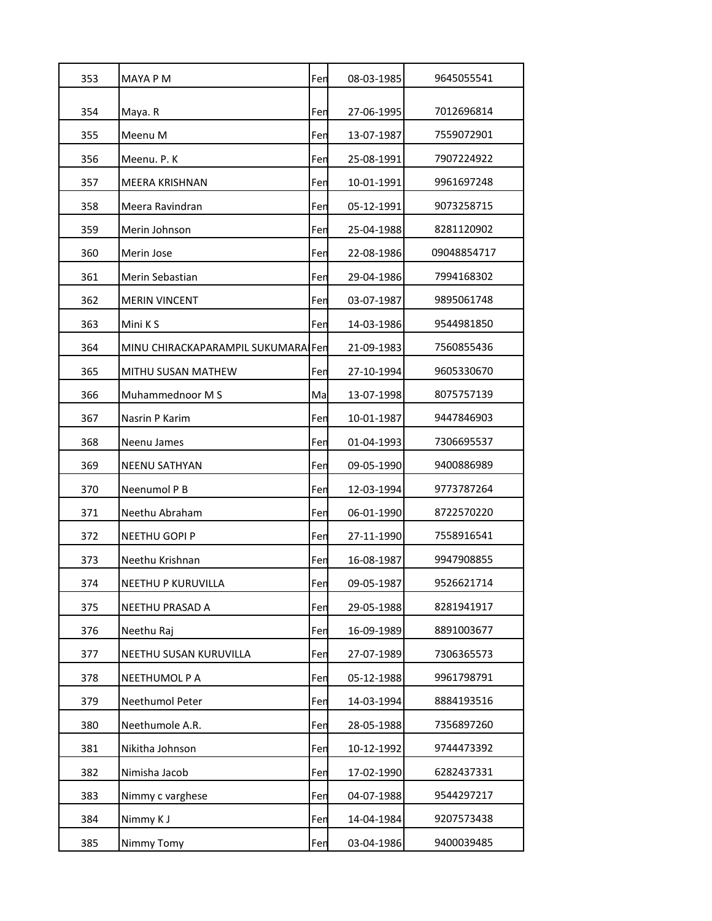| 353 | MAYA P M                           | Fen | 08-03-1985 | 9645055541  |
|-----|------------------------------------|-----|------------|-------------|
| 354 | Maya. R                            | Fen | 27-06-1995 | 7012696814  |
| 355 | Meenu M                            | Fen | 13-07-1987 | 7559072901  |
| 356 | Meenu. P. K                        | Fen | 25-08-1991 | 7907224922  |
| 357 | MEERA KRISHNAN                     | Fen | 10-01-1991 | 9961697248  |
| 358 | Meera Ravindran                    | Fen | 05-12-1991 | 9073258715  |
| 359 | Merin Johnson                      | Fen | 25-04-1988 | 8281120902  |
| 360 | Merin Jose                         | Fen | 22-08-1986 | 09048854717 |
| 361 | Merin Sebastian                    | Fen | 29-04-1986 | 7994168302  |
| 362 | <b>MERIN VINCENT</b>               | Fen | 03-07-1987 | 9895061748  |
| 363 | Mini K S                           | Fen | 14-03-1986 | 9544981850  |
| 364 | MINU CHIRACKAPARAMPIL SUKUMARA Fen |     | 21-09-1983 | 7560855436  |
| 365 | MITHU SUSAN MATHEW                 | Fen | 27-10-1994 | 9605330670  |
| 366 | Muhammednoor M S                   | Ma  | 13-07-1998 | 8075757139  |
| 367 | Nasrin P Karim                     | Fen | 10-01-1987 | 9447846903  |
| 368 | Neenu James                        | Fen | 01-04-1993 | 7306695537  |
| 369 | <b>NEENU SATHYAN</b>               | Fen | 09-05-1990 | 9400886989  |
| 370 | Neenumol P B                       | Fen | 12-03-1994 | 9773787264  |
| 371 | Neethu Abraham                     | Fen | 06-01-1990 | 8722570220  |
| 372 | NEETHU GOPI P                      | Fen | 27-11-1990 | 7558916541  |
| 373 | Neethu Krishnan                    | Fen | 16-08-1987 | 9947908855  |
| 374 | NEETHU P KURUVILLA                 | Fen | 09-05-1987 | 9526621714  |
| 375 | NEETHU PRASAD A                    | Fen | 29-05-1988 | 8281941917  |
| 376 | Neethu Raj                         | Fen | 16-09-1989 | 8891003677  |
| 377 | NEETHU SUSAN KURUVILLA             | Fen | 27-07-1989 | 7306365573  |
| 378 | NEETHUMOL P A                      | Fen | 05-12-1988 | 9961798791  |
| 379 | Neethumol Peter                    | Fen | 14-03-1994 | 8884193516  |
| 380 | Neethumole A.R.                    | Fen | 28-05-1988 | 7356897260  |
| 381 | Nikitha Johnson                    | Fen | 10-12-1992 | 9744473392  |
| 382 | Nimisha Jacob                      | Fen | 17-02-1990 | 6282437331  |
| 383 | Nimmy c varghese                   | Fen | 04-07-1988 | 9544297217  |
| 384 | Nimmy K J                          | Fen | 14-04-1984 | 9207573438  |
| 385 | Nimmy Tomy                         | Fen | 03-04-1986 | 9400039485  |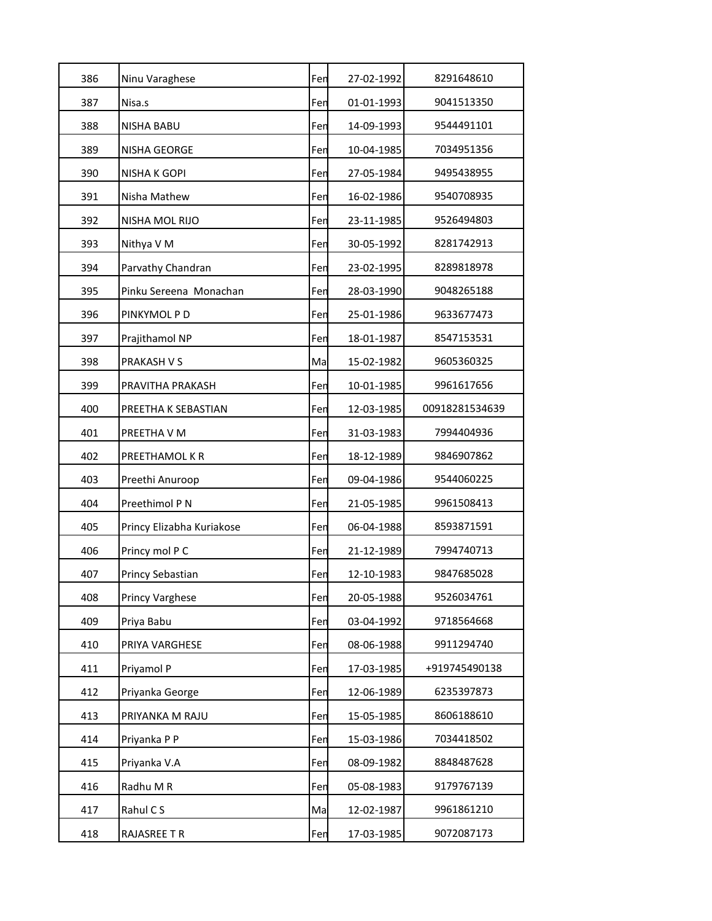| 386 | Ninu Varaghese            | Fen | 27-02-1992 | 8291648610     |
|-----|---------------------------|-----|------------|----------------|
|     |                           |     |            |                |
| 387 | Nisa.s                    | Fen | 01-01-1993 | 9041513350     |
| 388 | <b>NISHA BABU</b>         | Fen | 14-09-1993 | 9544491101     |
| 389 | NISHA GEORGE              | Fen | 10-04-1985 | 7034951356     |
| 390 | NISHA K GOPI              | Fen | 27-05-1984 | 9495438955     |
| 391 | Nisha Mathew              | Fen | 16-02-1986 | 9540708935     |
| 392 | <b>NISHA MOL RIJO</b>     | Fen | 23-11-1985 | 9526494803     |
| 393 | Nithya V M                | Fen | 30-05-1992 | 8281742913     |
| 394 | Parvathy Chandran         | Fen | 23-02-1995 | 8289818978     |
| 395 | Pinku Sereena Monachan    | Fen | 28-03-1990 | 9048265188     |
| 396 | PINKYMOL P D              | Fen | 25-01-1986 | 9633677473     |
| 397 | Prajithamol NP            | Fen | 18-01-1987 | 8547153531     |
| 398 | PRAKASH V S               | Ma  | 15-02-1982 | 9605360325     |
| 399 | PRAVITHA PRAKASH          | Fen | 10-01-1985 | 9961617656     |
| 400 | PREETHA K SEBASTIAN       | Fen | 12-03-1985 | 00918281534639 |
| 401 | PREETHA V M               | Fen | 31-03-1983 | 7994404936     |
| 402 | PREETHAMOL K R            | Fen | 18-12-1989 | 9846907862     |
| 403 | Preethi Anuroop           | Fen | 09-04-1986 | 9544060225     |
| 404 | Preethimol P N            | Fen | 21-05-1985 | 9961508413     |
| 405 | Princy Elizabha Kuriakose | Fen | 06-04-1988 | 8593871591     |
| 406 | Princy mol P C            | Fen | 21-12-1989 | 7994740713     |
| 407 | Princy Sebastian          | Fen | 12-10-1983 | 9847685028     |
| 408 | <b>Princy Varghese</b>    | Fen | 20-05-1988 | 9526034761     |
| 409 | Priya Babu                | Fen | 03-04-1992 | 9718564668     |
| 410 | PRIYA VARGHESE            | Fen | 08-06-1988 | 9911294740     |
| 411 | Priyamol P                | Fen | 17-03-1985 | +919745490138  |
| 412 | Priyanka George           | Fen | 12-06-1989 | 6235397873     |
| 413 | PRIYANKA M RAJU           | Fen | 15-05-1985 | 8606188610     |
| 414 | Priyanka P P              | Fen | 15-03-1986 | 7034418502     |
| 415 | Priyanka V.A              | Fen | 08-09-1982 | 8848487628     |
| 416 | Radhu M R                 | Fen | 05-08-1983 | 9179767139     |
| 417 | Rahul C S                 | Ma  | 12-02-1987 | 9961861210     |
| 418 | RAJASREE T R              | Fen | 17-03-1985 | 9072087173     |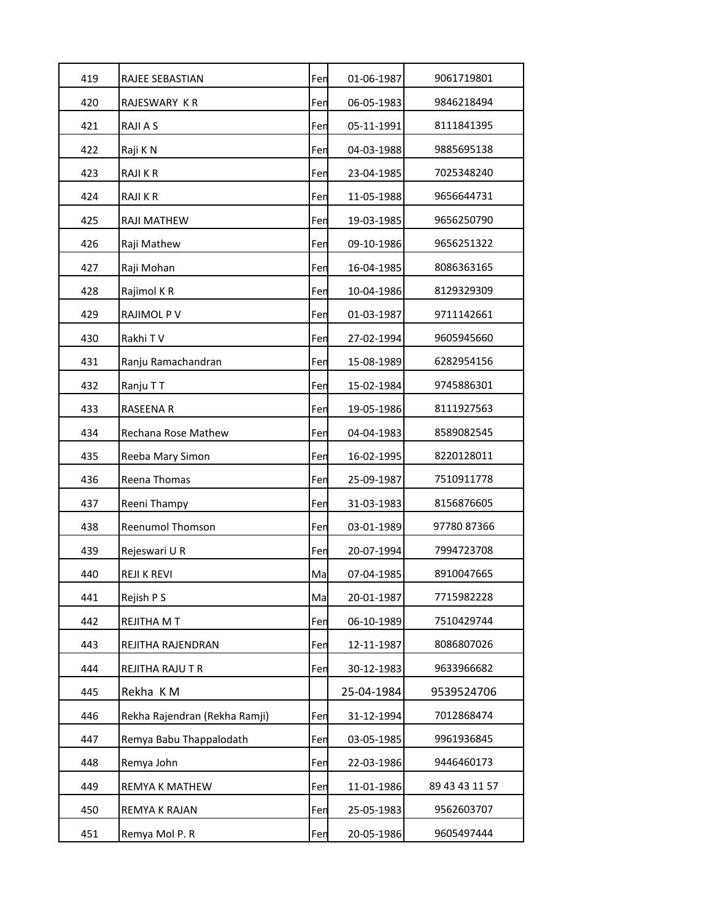| 419 | RAJEE SEBASTIAN               | Fen | 01-06-1987 | 9061719801     |
|-----|-------------------------------|-----|------------|----------------|
| 420 | RAJESWARY KR                  | Fen | 06-05-1983 | 9846218494     |
| 421 | RAJI A S                      | Fen | 05-11-1991 | 8111841395     |
| 422 | Raji K N                      | Fen | 04-03-1988 | 9885695138     |
| 423 | <b>RAJIKR</b>                 | Fen | 23-04-1985 | 7025348240     |
| 424 | RAJI K R                      | Fen | 11-05-1988 | 9656644731     |
| 425 | RAJI MATHEW                   | Fen | 19-03-1985 | 9656250790     |
| 426 | Raji Mathew                   | Fen | 09-10-1986 | 9656251322     |
| 427 | Raji Mohan                    | Fen | 16-04-1985 | 8086363165     |
| 428 | Rajimol KR                    | Fen | 10-04-1986 | 8129329309     |
| 429 | RAJIMOL P V                   | Fen | 01-03-1987 | 9711142661     |
| 430 | Rakhi TV                      | Fen | 27-02-1994 | 9605945660     |
| 431 | Ranju Ramachandran            | Fen | 15-08-1989 | 6282954156     |
| 432 | Ranju TT                      | Fen | 15-02-1984 | 9745886301     |
| 433 | <b>RASEENA R</b>              | Fen | 19-05-1986 | 8111927563     |
| 434 | Rechana Rose Mathew           | Fen | 04-04-1983 | 8589082545     |
| 435 | Reeba Mary Simon              | Fen | 16-02-1995 | 8220128011     |
| 436 | Reena Thomas                  | Fen | 25-09-1987 | 7510911778     |
| 437 | Reeni Thampy                  | Fen | 31-03-1983 | 8156876605     |
| 438 | Reenumol Thomson              | Fen | 03-01-1989 | 97780 87366    |
| 439 | Rejeswari U R                 | Fen | 20-07-1994 | 7994723708     |
| 440 | <b>REJI K REVI</b>            | Ma  | 07-04-1985 | 8910047665     |
| 441 | Rejish P S                    | Ma  | 20-01-1987 | 7715982228     |
| 442 | REJITHA M T                   | Fen | 06-10-1989 | 7510429744     |
| 443 | REJITHA RAJENDRAN             | Fen | 12-11-1987 | 8086807026     |
| 444 | REJITHA RAJU T R              | Fen | 30-12-1983 | 9633966682     |
| 445 | Rekha KM                      |     | 25-04-1984 | 9539524706     |
| 446 | Rekha Rajendran (Rekha Ramji) | Fen | 31-12-1994 | 7012868474     |
| 447 | Remya Babu Thappalodath       | Fen | 03-05-1985 | 9961936845     |
| 448 | Remya John                    | Fen | 22-03-1986 | 9446460173     |
| 449 | REMYA K MATHEW                | Fen | 11-01-1986 | 89 43 43 11 57 |
| 450 | REMYA K RAJAN                 | Fen | 25-05-1983 | 9562603707     |
| 451 | Remya Mol P. R                | Fen | 20-05-1986 | 9605497444     |
|     |                               |     |            |                |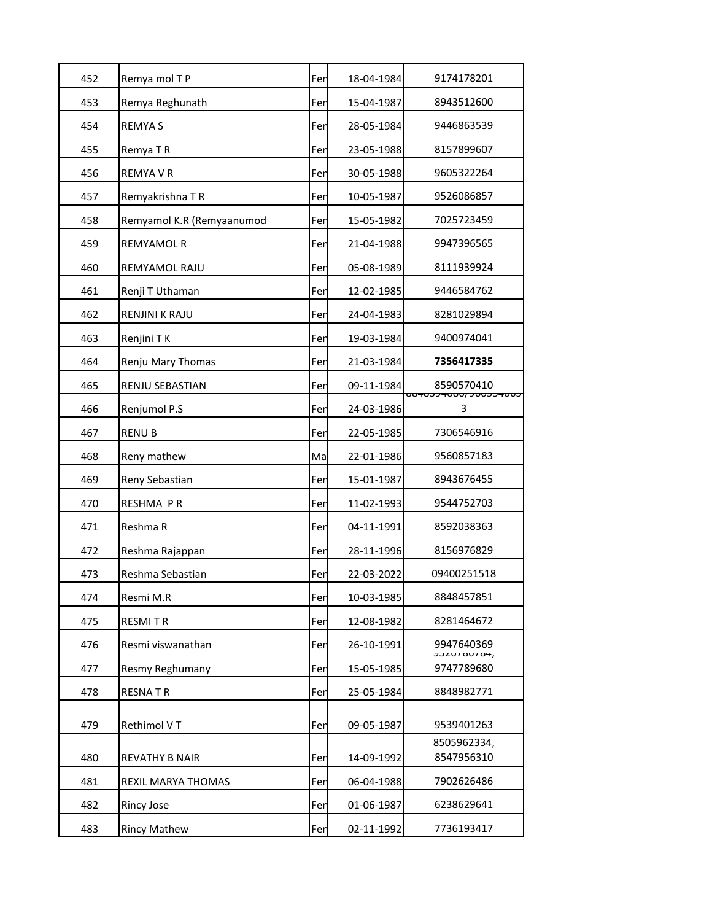| 452 | Remya mol T P             | Fen | 18-04-1984 | 9174178201                                      |
|-----|---------------------------|-----|------------|-------------------------------------------------|
| 453 | Remya Reghunath           | Fen | 15-04-1987 | 8943512600                                      |
| 454 | <b>REMYAS</b>             | Fen | 28-05-1984 | 9446863539                                      |
| 455 | Remya T R                 | Fen | 23-05-1988 | 8157899607                                      |
| 456 | <b>REMYA V R</b>          | Fen | 30-05-1988 | 9605322264                                      |
| 457 | Remyakrishna TR           | Fen | 10-05-1987 | 9526086857                                      |
| 458 | Remyamol K.R (Remyaanumod | Fen | 15-05-1982 | 7025723459                                      |
| 459 | <b>REMYAMOL R</b>         | Fen | 21-04-1988 | 9947396565                                      |
| 460 | REMYAMOL RAJU             | Fen | 05-08-1989 | 8111939924                                      |
| 461 | Renji T Uthaman           | Fen | 12-02-1985 | 9446584762                                      |
| 462 | <b>RENJINI K RAJU</b>     | Fen | 24-04-1983 | 8281029894                                      |
| 463 | Renjini TK                | Fen | 19-03-1984 | 9400974041                                      |
| 464 | Renju Mary Thomas         | Fen | 21-03-1984 | 7356417335                                      |
| 465 | <b>RENJU SEBASTIAN</b>    | Fen | 09-11-1984 | 8590570410                                      |
| 466 | Renjumol P.S              | Fen | 24-03-1986 | <del>כטטויככטט<i>כ ן</i>טסטויככסויסס</del><br>3 |
| 467 | <b>RENUB</b>              | Fen | 22-05-1985 | 7306546916                                      |
| 468 | Reny mathew               | Ma  | 22-01-1986 | 9560857183                                      |
| 469 | Reny Sebastian            | Fen | 15-01-1987 | 8943676455                                      |
| 470 | RESHMA PR                 | Fen | 11-02-1993 | 9544752703                                      |
| 471 | Reshma R                  | Fen | 04-11-1991 | 8592038363                                      |
| 472 | Reshma Rajappan           | Fen | 28-11-1996 | 8156976829                                      |
| 473 | Reshma Sebastian          | Fen | 22-03-2022 | 09400251518                                     |
| 474 | Resmi M.R                 | Fen | 10-03-1985 | 8848457851                                      |
| 475 | <b>RESMITR</b>            | Fen | 12-08-1982 | 8281464672                                      |
| 476 | Resmi viswanathan         | Fen | 26-10-1991 | 9947640369                                      |
| 477 | Resmy Reghumany           | Fen | 15-05-1985 | <del>JJZU700704,</del><br>9747789680            |
| 478 | <b>RESNATR</b>            | Fen | 25-05-1984 | 8848982771                                      |
| 479 | Rethimol VT               | Fen | 09-05-1987 | 9539401263                                      |
| 480 | <b>REVATHY B NAIR</b>     | Fen | 14-09-1992 | 8505962334,<br>8547956310                       |
| 481 | REXIL MARYA THOMAS        | Fen | 06-04-1988 | 7902626486                                      |
| 482 | Rincy Jose                | Fen | 01-06-1987 | 6238629641                                      |
| 483 | <b>Rincy Mathew</b>       | Fen | 02-11-1992 | 7736193417                                      |
|     |                           |     |            |                                                 |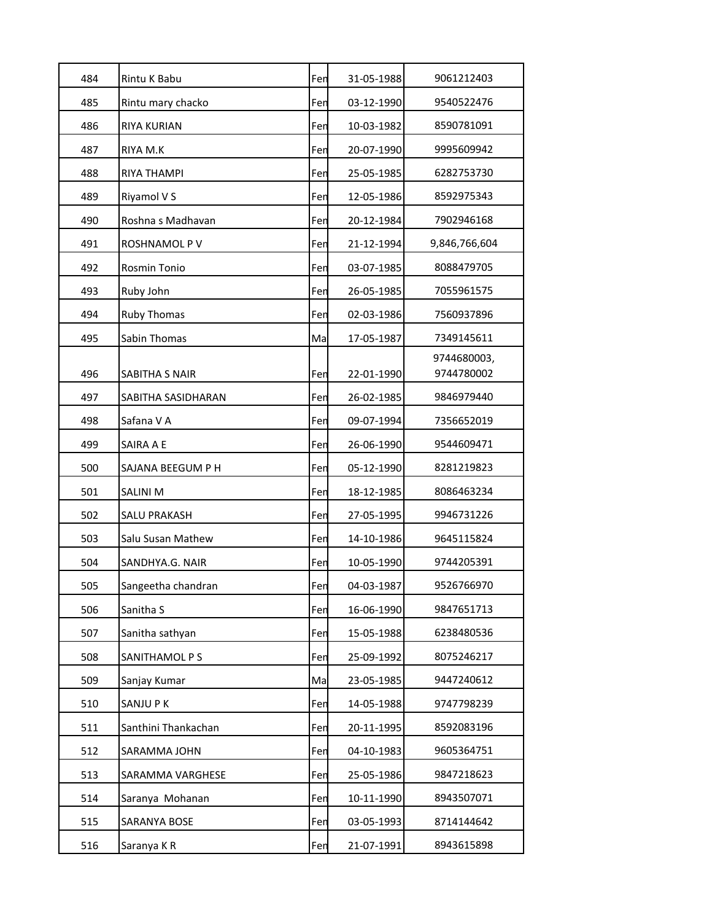| 484 | Rintu K Babu        | Fen | 31-05-1988 | 9061212403                |
|-----|---------------------|-----|------------|---------------------------|
| 485 | Rintu mary chacko   | Fen | 03-12-1990 | 9540522476                |
| 486 | <b>RIYA KURIAN</b>  | Fen | 10-03-1982 | 8590781091                |
| 487 | RIYA M.K            | Fen | 20-07-1990 | 9995609942                |
| 488 | RIYA THAMPI         | Fen | 25-05-1985 | 6282753730                |
| 489 | Riyamol V S         | Fen | 12-05-1986 | 8592975343                |
| 490 | Roshna s Madhavan   | Fen | 20-12-1984 | 7902946168                |
| 491 | ROSHNAMOL P V       | Fen | 21-12-1994 | 9,846,766,604             |
| 492 | Rosmin Tonio        | Fen | 03-07-1985 | 8088479705                |
| 493 | Ruby John           | Fen | 26-05-1985 | 7055961575                |
| 494 | Ruby Thomas         | Fen | 02-03-1986 | 7560937896                |
| 495 | Sabin Thomas        | Ma  | 17-05-1987 | 7349145611                |
| 496 | SABITHA S NAIR      | Fen | 22-01-1990 | 9744680003,<br>9744780002 |
| 497 | SABITHA SASIDHARAN  | Fen | 26-02-1985 | 9846979440                |
| 498 | Safana V A          | Fen | 09-07-1994 | 7356652019                |
| 499 | SAIRA A E           | Fen | 26-06-1990 | 9544609471                |
| 500 | SAJANA BEEGUM P H   | Fen | 05-12-1990 | 8281219823                |
| 501 | <b>SALINI M</b>     | Fen | 18-12-1985 | 8086463234                |
| 502 | <b>SALU PRAKASH</b> | Fen | 27-05-1995 | 9946731226                |
| 503 | Salu Susan Mathew   | Fen | 14-10-1986 | 9645115824                |
| 504 | SANDHYA.G. NAIR     | Fen | 10-05-1990 | 9744205391                |
| 505 | Sangeetha chandran  | Fen | 04-03-1987 | 9526766970                |
| 506 | Sanitha S           | Fen | 16-06-1990 | 9847651713                |
| 507 | Sanitha sathyan     | Fen | 15-05-1988 | 6238480536                |
| 508 | SANITHAMOL P S      | Fen | 25-09-1992 | 8075246217                |
| 509 | Sanjay Kumar        | Ma  | 23-05-1985 | 9447240612                |
| 510 | SANJU P K           | Fen | 14-05-1988 | 9747798239                |
| 511 | Santhini Thankachan | Fen | 20-11-1995 | 8592083196                |
| 512 | SARAMMA JOHN        | Fen | 04-10-1983 | 9605364751                |
| 513 | SARAMMA VARGHESE    | Fen | 25-05-1986 | 9847218623                |
| 514 | Saranya Mohanan     | Fen | 10-11-1990 | 8943507071                |
| 515 | SARANYA BOSE        | Fen | 03-05-1993 | 8714144642                |
| 516 | Saranya KR          | Fen | 21-07-1991 | 8943615898                |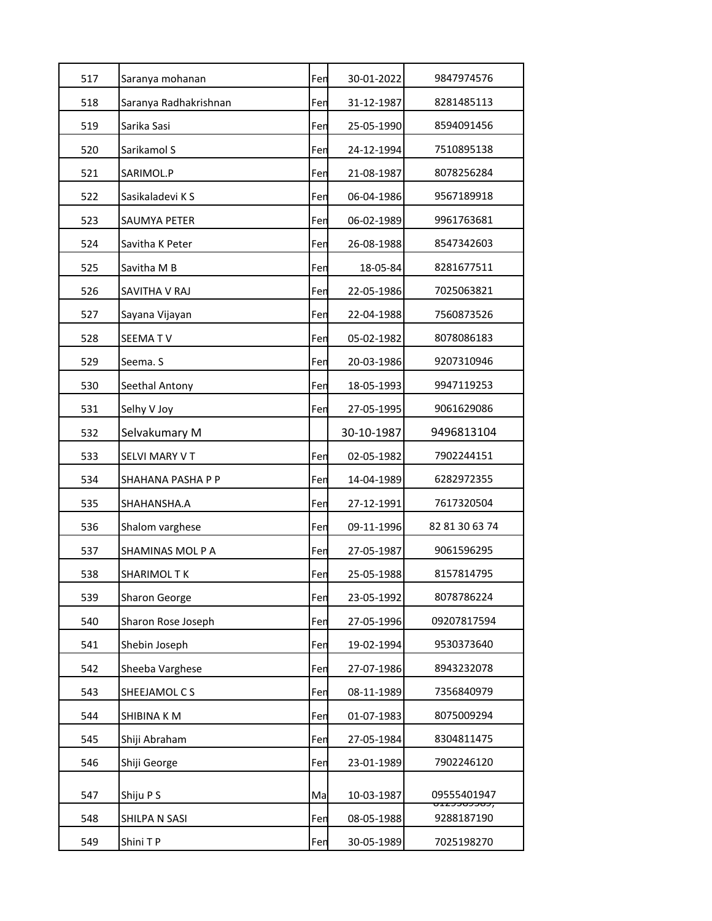| 517 | Saranya mohanan       | Fen | 30-01-2022 | 9847974576                                   |
|-----|-----------------------|-----|------------|----------------------------------------------|
| 518 | Saranya Radhakrishnan | Fen | 31-12-1987 | 8281485113                                   |
| 519 | Sarika Sasi           | Fen | 25-05-1990 | 8594091456                                   |
| 520 | Sarikamol S           | Fen | 24-12-1994 | 7510895138                                   |
| 521 | SARIMOL.P             | Fen | 21-08-1987 | 8078256284                                   |
| 522 | Sasikaladevi K S      | Fen | 06-04-1986 | 9567189918                                   |
| 523 | SAUMYA PETER          | Fen | 06-02-1989 | 9961763681                                   |
| 524 | Savitha K Peter       | Fen | 26-08-1988 | 8547342603                                   |
| 525 | Savitha M B           | Fen | 18-05-84   | 8281677511                                   |
| 526 | SAVITHA V RAJ         | Fen | 22-05-1986 | 7025063821                                   |
| 527 | Sayana Vijayan        | Fen | 22-04-1988 | 7560873526                                   |
| 528 | SEEMA TV              | Fen | 05-02-1982 | 8078086183                                   |
| 529 | Seema. S              | Fen | 20-03-1986 | 9207310946                                   |
| 530 | Seethal Antony        | Fen | 18-05-1993 | 9947119253                                   |
| 531 | Selhy V Joy           | Fen | 27-05-1995 | 9061629086                                   |
| 532 | Selvakumary M         |     | 30-10-1987 | 9496813104                                   |
| 533 | SELVI MARY V T        | Fen | 02-05-1982 | 7902244151                                   |
| 534 | SHAHANA PASHA P P     | Fen | 14-04-1989 | 6282972355                                   |
| 535 | SHAHANSHA.A           | Fen | 27-12-1991 | 7617320504                                   |
| 536 | Shalom varghese       | Fen | 09-11-1996 | 82 81 30 63 74                               |
| 537 | SHAMINAS MOL P A      | Fen | 27-05-1987 | 9061596295                                   |
| 538 | SHARIMOL T K          | Fen | 25-05-1988 | 8157814795                                   |
| 539 | <b>Sharon George</b>  | Fen | 23-05-1992 | 8078786224                                   |
| 540 | Sharon Rose Joseph    | Fen | 27-05-1996 | 09207817594                                  |
| 541 | Shebin Joseph         | Fen | 19-02-1994 | 9530373640                                   |
| 542 | Sheeba Varghese       | Fen | 27-07-1986 | 8943232078                                   |
| 543 | SHEEJAMOL C S         | Fen | 08-11-1989 | 7356840979                                   |
| 544 | SHIBINA K M           | Fen | 01-07-1983 | 8075009294                                   |
| 545 | Shiji Abraham         | Fen | 27-05-1984 | 8304811475                                   |
| 546 | Shiji George          | Fen | 23-01-1989 | 7902246120                                   |
| 547 | Shiju P S             | Ma  | 10-03-1987 | 09555401947                                  |
| 548 | SHILPA N SASI         | Fen | 08-05-1988 | <del>,,,,,,,,,,,,,,,,,,,</del><br>9288187190 |
| 549 | Shini TP              | Fen | 30-05-1989 | 7025198270                                   |
|     |                       |     |            |                                              |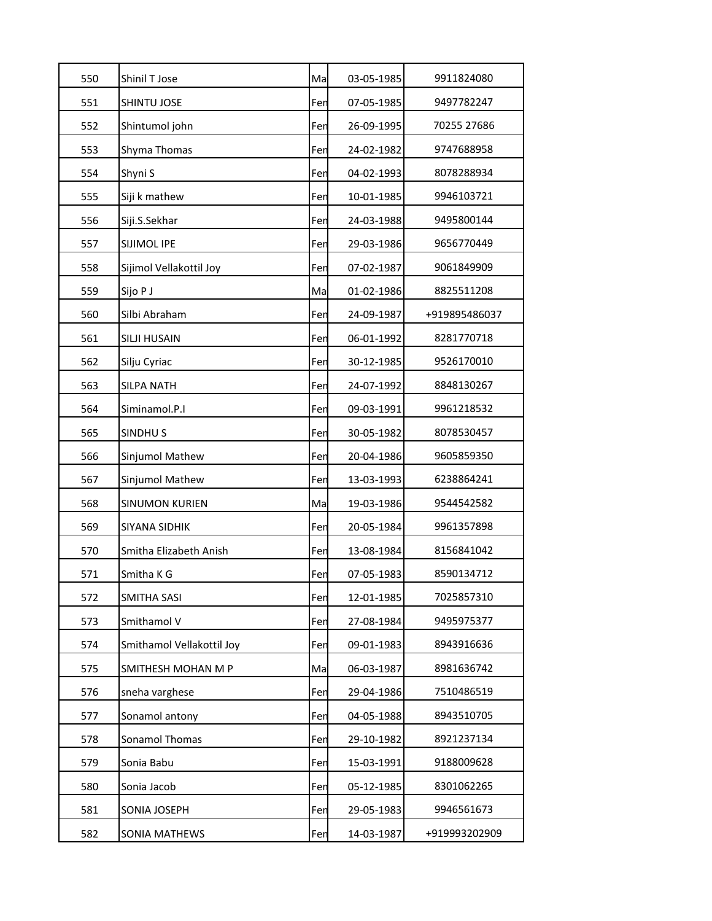| 550 | Shinil T Jose             | Ma  | 03-05-1985 | 9911824080    |
|-----|---------------------------|-----|------------|---------------|
| 551 | SHINTU JOSE               | Fen | 07-05-1985 | 9497782247    |
| 552 | Shintumol john            | Fen | 26-09-1995 | 70255 27686   |
| 553 | Shyma Thomas              | Fen | 24-02-1982 | 9747688958    |
| 554 | Shyni S                   | Fen | 04-02-1993 | 8078288934    |
| 555 | Siji k mathew             | Fen | 10-01-1985 | 9946103721    |
| 556 | Siji.S.Sekhar             | Fen | 24-03-1988 | 9495800144    |
| 557 | SIJIMOL IPE               | Fen | 29-03-1986 | 9656770449    |
| 558 | Sijimol Vellakottil Joy   | Fen | 07-02-1987 | 9061849909    |
| 559 | Sijo P J                  | Ma  | 01-02-1986 | 8825511208    |
| 560 | Silbi Abraham             | Fen | 24-09-1987 | +919895486037 |
| 561 | SILJI HUSAIN              | Fen | 06-01-1992 | 8281770718    |
| 562 | Silju Cyriac              | Fen | 30-12-1985 | 9526170010    |
| 563 | <b>SILPA NATH</b>         | Fer | 24-07-1992 | 8848130267    |
| 564 | Siminamol.P.I             | Fen | 09-03-1991 | 9961218532    |
| 565 | SINDHU <sub>S</sub>       | Fen | 30-05-1982 | 8078530457    |
| 566 | Sinjumol Mathew           | Fen | 20-04-1986 | 9605859350    |
| 567 | Sinjumol Mathew           | Fen | 13-03-1993 | 6238864241    |
| 568 | <b>SINUMON KURIEN</b>     | Ma  | 19-03-1986 | 9544542582    |
| 569 | SIYANA SIDHIK             | Fen | 20-05-1984 | 9961357898    |
| 570 | Smitha Elizabeth Anish    | Fen | 13-08-1984 | 8156841042    |
| 571 | Smitha K G                | Fen | 07-05-1983 | 8590134712    |
| 572 | SMITHA SASI               | Fen | 12-01-1985 | 7025857310    |
| 573 | Smithamol V               | Fen | 27-08-1984 | 9495975377    |
| 574 | Smithamol Vellakottil Joy | Fen | 09-01-1983 | 8943916636    |
| 575 | SMITHESH MOHAN M P        | Ma  | 06-03-1987 | 8981636742    |
| 576 | sneha varghese            | Fen | 29-04-1986 | 7510486519    |
| 577 | Sonamol antony            | Fen | 04-05-1988 | 8943510705    |
| 578 | Sonamol Thomas            | Fen | 29-10-1982 | 8921237134    |
| 579 | Sonia Babu                | Fen | 15-03-1991 | 9188009628    |
| 580 | Sonia Jacob               | Fen | 05-12-1985 | 8301062265    |
| 581 | SONIA JOSEPH              | Fen | 29-05-1983 | 9946561673    |
| 582 | SONIA MATHEWS             | Fen | 14-03-1987 | +919993202909 |
|     |                           |     |            |               |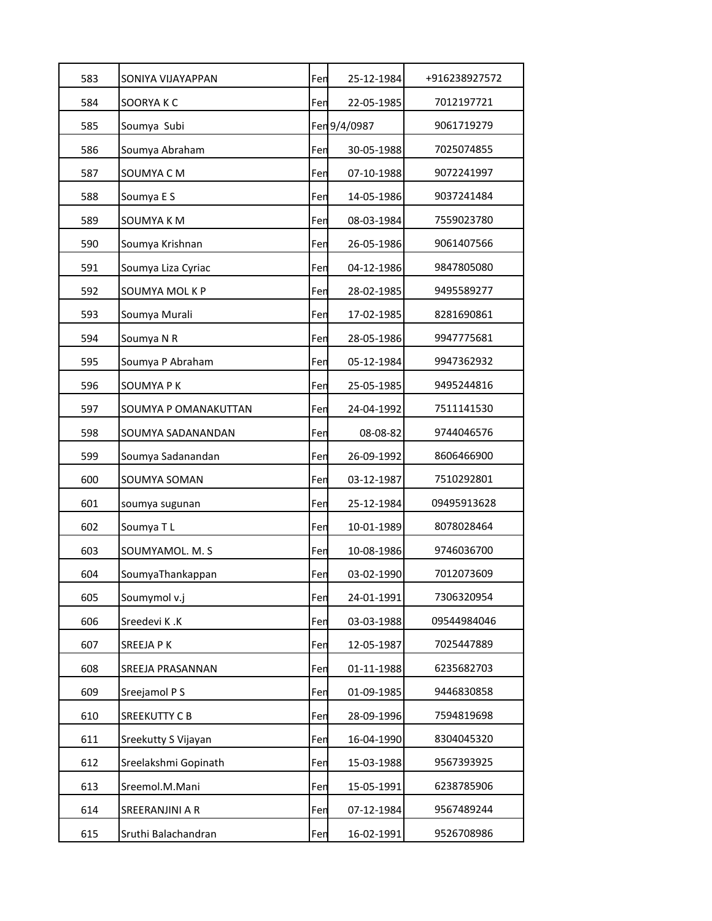| 583 | SONIYA VIJAYAPPAN    | Fen | 25-12-1984   | +916238927572 |
|-----|----------------------|-----|--------------|---------------|
| 584 | SOORYA K C           | Fen | 22-05-1985   | 7012197721    |
| 585 | Soumya Subi          |     | Fen 9/4/0987 | 9061719279    |
| 586 | Soumya Abraham       | Fen | 30-05-1988   | 7025074855    |
| 587 | SOUMYA CM            | Fen | 07-10-1988   | 9072241997    |
| 588 | Soumya E S           | Fen | 14-05-1986   | 9037241484    |
| 589 | SOUMYA K M           | Fen | 08-03-1984   | 7559023780    |
| 590 | Soumya Krishnan      | Fen | 26-05-1986   | 9061407566    |
| 591 | Soumya Liza Cyriac   | Fen | 04-12-1986   | 9847805080    |
| 592 | SOUMYA MOL K P       | Fen | 28-02-1985   | 9495589277    |
| 593 | Soumya Murali        | Fen | 17-02-1985   | 8281690861    |
| 594 | Soumya N R           | Fen | 28-05-1986   | 9947775681    |
| 595 | Soumya P Abraham     | Fen | 05-12-1984   | 9947362932    |
| 596 | SOUMYA P K           | Fen | 25-05-1985   | 9495244816    |
| 597 | SOUMYA P OMANAKUTTAN | Fen | 24-04-1992   | 7511141530    |
| 598 | SOUMYA SADANANDAN    | Fen | 08-08-82     | 9744046576    |
| 599 | Soumya Sadanandan    | Fen | 26-09-1992   | 8606466900    |
| 600 | SOUMYA SOMAN         | Fen | 03-12-1987   | 7510292801    |
| 601 | soumya sugunan       | Fen | 25-12-1984   | 09495913628   |
| 602 | Soumya TL            | Fen | 10-01-1989   | 8078028464    |
| 603 | SOUMYAMOL. M. S      | Fen | 10-08-1986   | 9746036700    |
| 604 | SoumyaThankappan     | Fen | 03-02-1990   | 7012073609    |
| 605 | Soumymol v.j         | Fen | 24-01-1991   | 7306320954    |
| 606 | Sreedevi K.K         | Fen | 03-03-1988   | 09544984046   |
| 607 | SREEJA P K           | Fen | 12-05-1987   | 7025447889    |
| 608 | SREEJA PRASANNAN     | Fen | 01-11-1988   | 6235682703    |
| 609 | Sreejamol P S        | Fen | 01-09-1985   | 9446830858    |
| 610 | SREEKUTTY C B        | Fen | 28-09-1996   | 7594819698    |
| 611 | Sreekutty S Vijayan  | Fen | 16-04-1990   | 8304045320    |
| 612 | Sreelakshmi Gopinath | Fen | 15-03-1988   | 9567393925    |
| 613 | Sreemol.M.Mani       | Fen | 15-05-1991   | 6238785906    |
| 614 | SREERANJINI A R      | Fen | 07-12-1984   | 9567489244    |
| 615 | Sruthi Balachandran  | Fen | 16-02-1991   | 9526708986    |
|     |                      |     |              |               |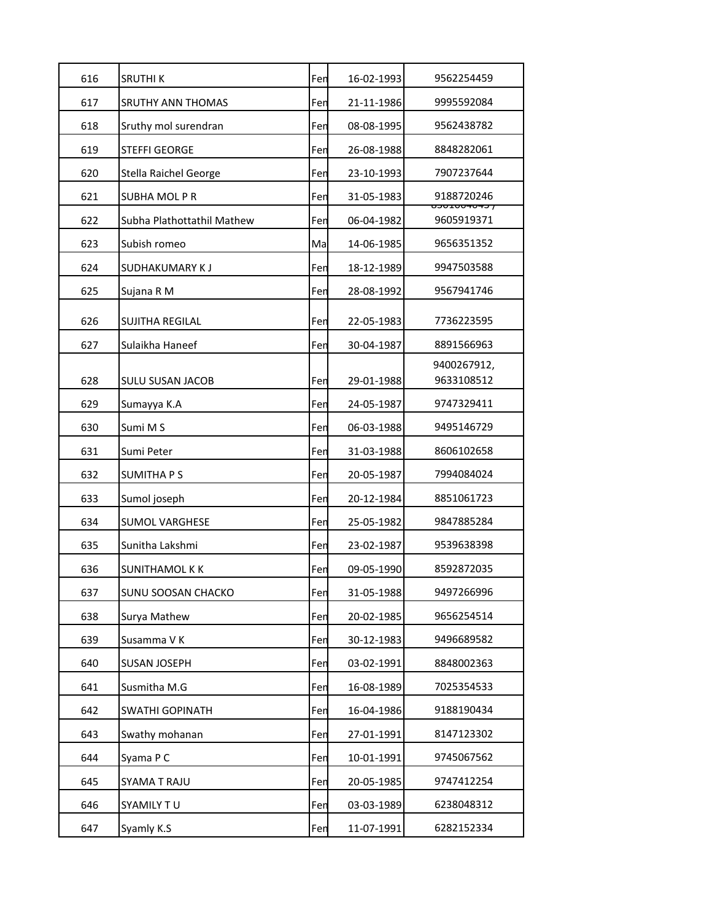| 616 | <b>SRUTHIK</b>             | Fen | 16-02-1993 | 9562254459                            |
|-----|----------------------------|-----|------------|---------------------------------------|
| 617 | <b>SRUTHY ANN THOMAS</b>   | Fen | 21-11-1986 | 9995592084                            |
| 618 | Sruthy mol surendran       | Fen | 08-08-1995 | 9562438782                            |
| 619 | <b>STEFFI GEORGE</b>       | Fen | 26-08-1988 | 8848282061                            |
| 620 | Stella Raichel George      | Fen | 23-10-1993 | 7907237644                            |
| 621 | SUBHA MOL P R              | Fen | 31-05-1983 | 9188720246<br><del>, כדטדטטבטכס</del> |
| 622 | Subha Plathottathil Mathew | Fen | 06-04-1982 | 9605919371                            |
| 623 | Subish romeo               | Ma  | 14-06-1985 | 9656351352                            |
| 624 | SUDHAKUMARY K J            | Fen | 18-12-1989 | 9947503588                            |
| 625 | Sujana R M                 | Fen | 28-08-1992 | 9567941746                            |
| 626 | SUJITHA REGILAL            | Fen | 22-05-1983 | 7736223595                            |
| 627 | Sulaikha Haneef            | Fen | 30-04-1987 | 8891566963                            |
| 628 | <b>SULU SUSAN JACOB</b>    | Fen | 29-01-1988 | 9400267912,<br>9633108512             |
| 629 | Sumayya K.A                | Fen | 24-05-1987 | 9747329411                            |
| 630 | Sumi M S                   | Fen | 06-03-1988 | 9495146729                            |
| 631 | Sumi Peter                 | Fen | 31-03-1988 | 8606102658                            |
| 632 | <b>SUMITHA PS</b>          | Fen | 20-05-1987 | 7994084024                            |
| 633 | Sumol joseph               | Fen | 20-12-1984 | 8851061723                            |
| 634 | <b>SUMOL VARGHESE</b>      | Fen | 25-05-1982 | 9847885284                            |
| 635 | Sunitha Lakshmi            | Fen | 23-02-1987 | 9539638398                            |
| 636 | <b>SUNITHAMOL K K</b>      | Fen | 09-05-1990 | 8592872035                            |
| 637 | SUNU SOOSAN CHACKO         | Fen | 31-05-1988 | 9497266996                            |
| 638 | Surya Mathew               | Fen | 20-02-1985 | 9656254514                            |
| 639 | Susamma V K                | Fen | 30-12-1983 | 9496689582                            |
| 640 | <b>SUSAN JOSEPH</b>        | Fen | 03-02-1991 | 8848002363                            |
| 641 | Susmitha M.G               | Fen | 16-08-1989 | 7025354533                            |
| 642 | SWATHI GOPINATH            | Fen | 16-04-1986 | 9188190434                            |
| 643 | Swathy mohanan             | Fen | 27-01-1991 | 8147123302                            |
| 644 | Syama P C                  | Fen | 10-01-1991 | 9745067562                            |
| 645 | SYAMA T RAJU               | Fen | 20-05-1985 | 9747412254                            |
| 646 | SYAMILY TU                 | Fen | 03-03-1989 | 6238048312                            |
| 647 | Syamly K.S                 | Fen | 11-07-1991 | 6282152334                            |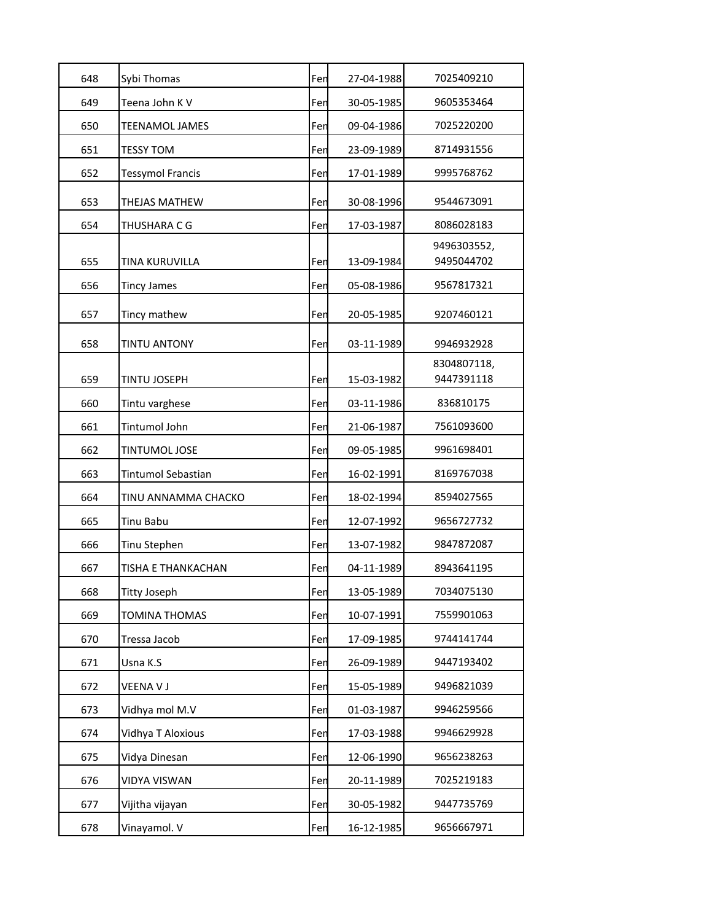| 648 | Sybi Thomas               | Fen | 27-04-1988 | 7025409210                |
|-----|---------------------------|-----|------------|---------------------------|
| 649 | Teena John K V            | Fen | 30-05-1985 | 9605353464                |
| 650 | TEENAMOL JAMES            | Fen | 09-04-1986 | 7025220200                |
| 651 | TESSY TOM                 | Fen | 23-09-1989 | 8714931556                |
| 652 | <b>Tessymol Francis</b>   | Fen | 17-01-1989 | 9995768762                |
| 653 | <b>THEJAS MATHEW</b>      | Fen | 30-08-1996 | 9544673091                |
| 654 | THUSHARA C G              | Fen | 17-03-1987 | 8086028183                |
| 655 | TINA KURUVILLA            | Fen | 13-09-1984 | 9496303552,<br>9495044702 |
| 656 | <b>Tincy James</b>        | Fen | 05-08-1986 | 9567817321                |
| 657 | Tincy mathew              | Fen | 20-05-1985 | 9207460121                |
| 658 | <b>TINTU ANTONY</b>       | Fen | 03-11-1989 | 9946932928                |
| 659 | TINTU JOSEPH              | Fen | 15-03-1982 | 8304807118,<br>9447391118 |
| 660 | Tintu varghese            | Fen | 03-11-1986 | 836810175                 |
| 661 | <b>Tintumol John</b>      | Fen | 21-06-1987 | 7561093600                |
| 662 | TINTUMOL JOSE             | Fen | 09-05-1985 | 9961698401                |
| 663 | <b>Tintumol Sebastian</b> | Fen | 16-02-1991 | 8169767038                |
| 664 | TINU ANNAMMA CHACKO       | Fen | 18-02-1994 | 8594027565                |
| 665 | Tinu Babu                 | Fen | 12-07-1992 | 9656727732                |
| 666 | Tinu Stephen              | Fen | 13-07-1982 | 9847872087                |
| 667 | TISHA E THANKACHAN        | Fen | 04-11-1989 | 8943641195                |
| 668 | Titty Joseph              | Fen | 13-05-1989 | 7034075130                |
| 669 | <b>TOMINA THOMAS</b>      | Fen | 10-07-1991 | 7559901063                |
| 670 | Tressa Jacob              | Fen | 17-09-1985 | 9744141744                |
| 671 | Usna K.S                  | Fen | 26-09-1989 | 9447193402                |
| 672 | VEENA V J                 | Fen | 15-05-1989 | 9496821039                |
| 673 | Vidhya mol M.V            | Fen | 01-03-1987 | 9946259566                |
| 674 | Vidhya T Aloxious         | Fen | 17-03-1988 | 9946629928                |
| 675 | Vidya Dinesan             | Fen | 12-06-1990 | 9656238263                |
| 676 | <b>VIDYA VISWAN</b>       | Fen | 20-11-1989 | 7025219183                |
| 677 | Vijitha vijayan           | Fen | 30-05-1982 | 9447735769                |
| 678 | Vinayamol. V              | Fen | 16-12-1985 | 9656667971                |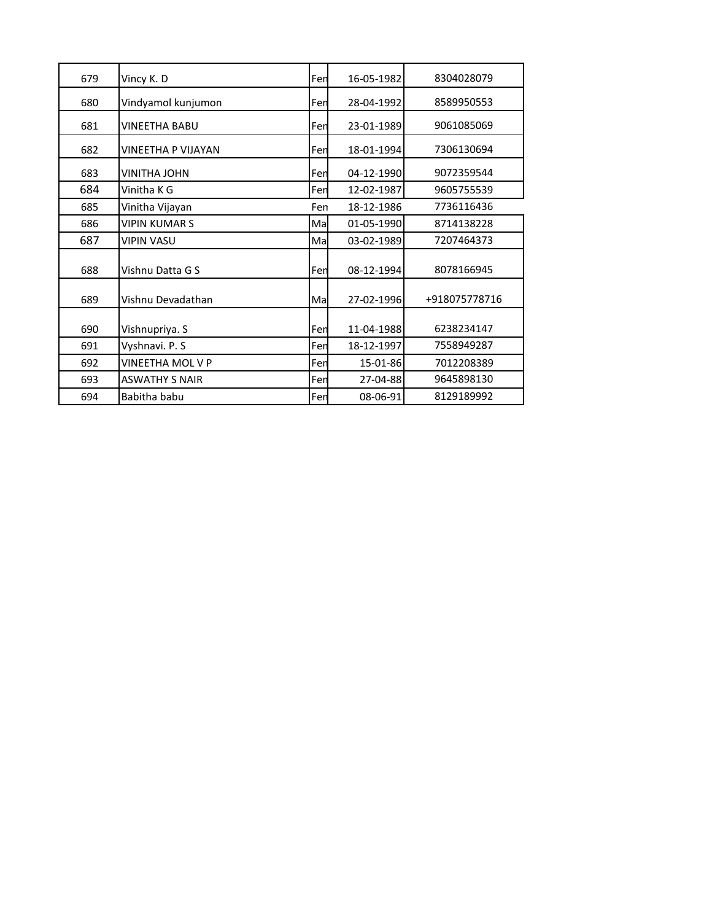| 679 | Vincy K. D            | Fen | 16-05-1982 | 8304028079    |
|-----|-----------------------|-----|------------|---------------|
| 680 | Vindyamol kunjumon    | Fen | 28-04-1992 | 8589950553    |
| 681 | VINEETHA BABU         | Fen | 23-01-1989 | 9061085069    |
| 682 | VINEETHA P VIJAYAN    | Fen | 18-01-1994 | 7306130694    |
| 683 | <b>VINITHA JOHN</b>   | Fen | 04-12-1990 | 9072359544    |
| 684 | Vinitha K G           | Fen | 12-02-1987 | 9605755539    |
| 685 | Vinitha Vijayan       | Fen | 18-12-1986 | 7736116436    |
| 686 | VIPIN KUMAR S         | Ma  | 01-05-1990 | 8714138228    |
| 687 | <b>VIPIN VASU</b>     | Ma  | 03-02-1989 | 7207464373    |
| 688 | Vishnu Datta G S      | Fen | 08-12-1994 | 8078166945    |
| 689 | Vishnu Devadathan     | Ma  | 27-02-1996 | +918075778716 |
| 690 | Vishnupriya. S        | Fen | 11-04-1988 | 6238234147    |
| 691 | Vyshnavi. P. S        | Fen | 18-12-1997 | 7558949287    |
| 692 | VINEETHA MOL V P      | Fen | 15-01-86   | 7012208389    |
| 693 | <b>ASWATHY S NAIR</b> | Fen | 27-04-88   | 9645898130    |
| 694 | Babitha babu          | Fen | 08-06-91   | 8129189992    |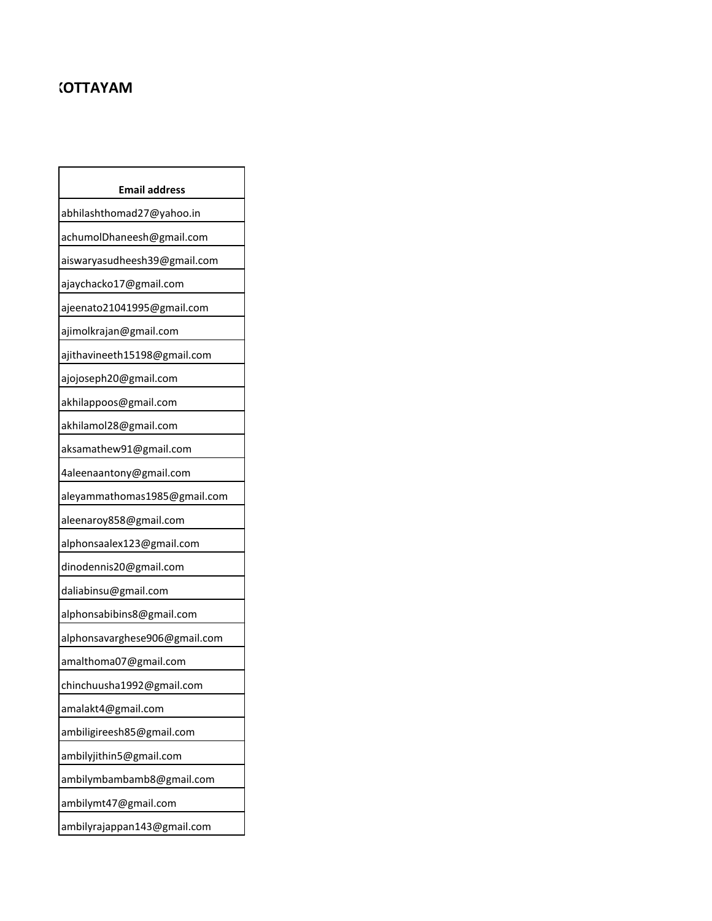## **NATION**

| <b>Email address</b>          |
|-------------------------------|
| abhilashthomad27@yahoo.in     |
| achumolDhaneesh@gmail.com     |
| aiswaryasudheesh39@gmail.com  |
| ajaychacko17@gmail.com        |
| ajeenato21041995@gmail.com    |
| ajimolkrajan@gmail.com        |
| ajithavineeth15198@gmail.com  |
| ajojoseph20@gmail.com         |
| akhilappoos@gmail.com         |
| akhilamol28@gmail.com         |
| aksamathew91@gmail.com        |
| 4aleenaantony@gmail.com       |
| aleyammathomas1985@gmail.com  |
| aleenaroy858@gmail.com        |
| alphonsaalex123@gmail.com     |
| dinodennis20@gmail.com        |
| daliabinsu@gmail.com          |
| alphonsabibins8@gmail.com     |
| alphonsavarghese906@gmail.com |
| amalthoma07@gmail.com         |
| chinchuusha1992@gmail.com     |
| amalakt4@gmail.com            |
| ambiligireesh85@gmail.com     |
| ambilyjithin5@gmail.com       |
| ambilymbambamb8@gmail.com     |
| ambilymt47@gmail.com          |
| ambilyrajappan143@gmail.com   |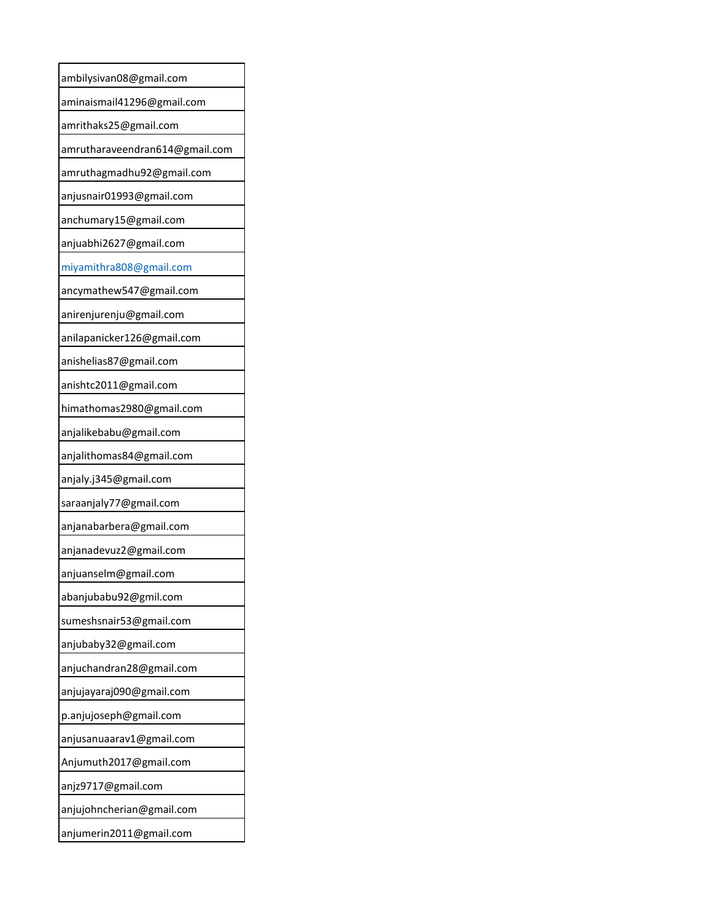| ambilysivan08@gmail.com        |
|--------------------------------|
| aminaismail41296@gmail.com     |
| amrithaks25@gmail.com          |
| amrutharaveendran614@gmail.com |
| amruthagmadhu92@gmail.com      |
| anjusnair01993@gmail.com       |
| anchumary15@gmail.com          |
| anjuabhi2627@gmail.com         |
| miyamithra808@gmail.com        |
| ancymathew547@gmail.com        |
| anirenjurenju@gmail.com        |
| anilapanicker126@gmail.com     |
| anishelias87@gmail.com         |
| anishtc2011@gmail.com          |
| himathomas2980@gmail.com       |
| anjalikebabu@gmail.com         |
| anjalithomas84@gmail.com       |
| anjaly.j345@gmail.com          |
| saraanjaly77@gmail.com         |
| anjanabarbera@gmail.com        |
| anjanadevuz2@gmail.com         |
| anjuanselm@gmail.com           |
| abanjubabu92@gmil.com          |
| sumeshsnair53@gmail.com        |
| anjubaby32@gmail.com           |
| anjuchandran28@gmail.com       |
| anjujayaraj090@gmail.com       |
| p.anjujoseph@gmail.com         |
| anjusanuaarav1@gmail.com       |
| Anjumuth2017@gmail.com         |
| anjz9717@gmail.com             |
| anjujohncherian@gmail.com      |
| anjumerin2011@gmail.com        |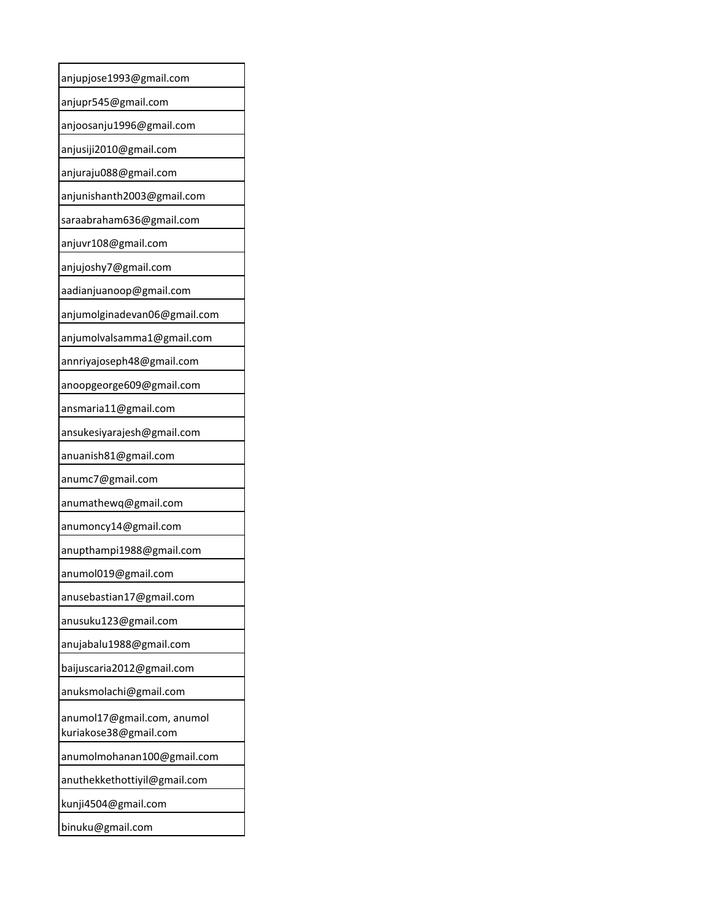| anjupjose1993@gmail.com                             |
|-----------------------------------------------------|
| anjupr545@gmail.com                                 |
| anjoosanju1996@gmail.com                            |
| anjusiji2010@gmail.com                              |
| anjuraju088@gmail.com                               |
| anjunishanth2003@gmail.com                          |
| saraabraham636@gmail.com                            |
| anjuvr108@gmail.com                                 |
| anjujoshy7@gmail.com                                |
| aadianjuanoop@gmail.com                             |
| anjumolginadevan06@gmail.com                        |
| anjumolvalsamma1@gmail.com                          |
| annriyajoseph48@gmail.com                           |
| anoopgeorge609@gmail.com                            |
| ansmaria11@gmail.com                                |
| ansukesiyarajesh@gmail.com                          |
| anuanish81@gmail.com                                |
| anumc7@gmail.com                                    |
| anumathewq@gmail.com                                |
| anumoncy14@gmail.com                                |
| anupthampi1988@gmail.com                            |
| anumol019@gmail.com                                 |
| anusebastian17@gmail.com                            |
| anusuku123@gmail.com                                |
| anujabalu1988@gmail.com                             |
| baijuscaria2012@gmail.com                           |
| anuksmolachi@gmail.com                              |
| anumol17@gmail.com, anumol<br>kuriakose38@gmail.com |
| anumolmohanan100@gmail.com                          |
| anuthekkethottiyil@gmail.com                        |
| kunji4504@gmail.com                                 |
| binuku@gmail.com                                    |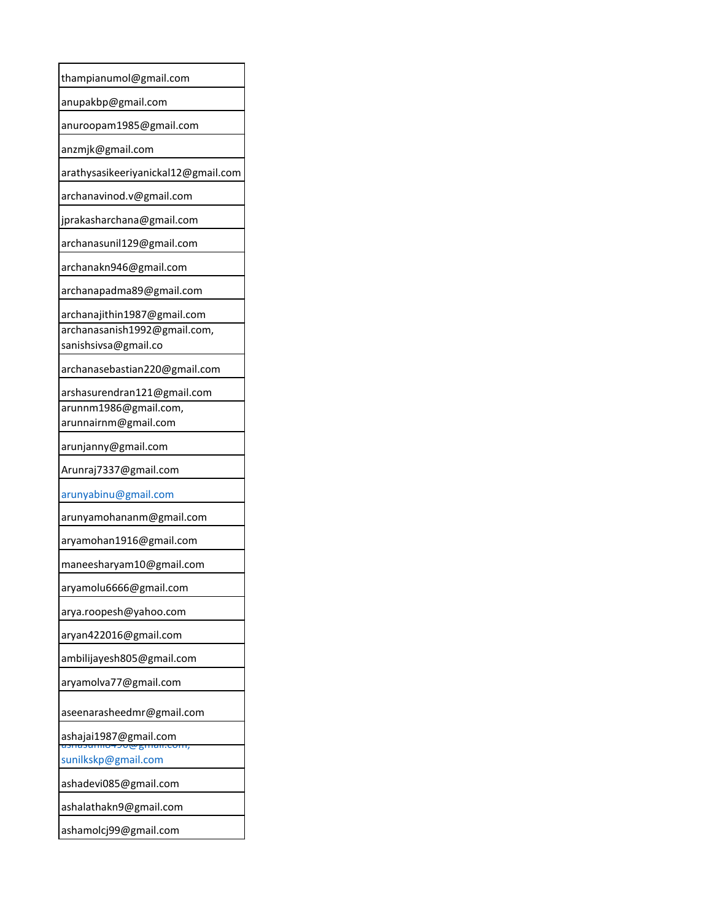| thampianumol@gmail.com              |
|-------------------------------------|
| anupakbp@gmail.com                  |
| anuroopam1985@gmail.com             |
| anzmjk@gmail.com                    |
| arathysasikeeriyanickal12@gmail.com |
| archanavinod.v@gmail.com            |
| jprakasharchana@gmail.com           |
| archanasunil129@gmail.com           |
| archanakn946@gmail.com              |
| archanapadma89@gmail.com            |
| archanajithin1987@gmail.com         |
| archanasanish1992@gmail.com,        |
| sanishsivsa@gmail.co                |
| archanasebastian220@gmail.com       |
| arshasurendran121@gmail.com         |
| arunnm1986@gmail.com,               |
| arunnairnm@gmail.com                |
| arunjanny@gmail.com                 |
| Arunraj7337@gmail.com               |
| arunyabinu@gmail.com                |
| arunyamohananm@gmail.com            |
| aryamohan1916@gmail.com             |
| maneesharyam10@gmail.com            |
| aryamolu6666@gmail.com              |
| arya.roopesh@yahoo.com              |
| aryan422016@gmail.com               |
| ambilijayesh805@gmail.com           |
| aryamolva77@gmail.com               |
| aseenarasheedmr@gmail.com           |
| ashajai1987@gmail.com               |
| sunilkskp@gmail.com                 |
| ashadevi085@gmail.com               |
| ashalathakn9@gmail.com              |
| ashamolcj99@gmail.com               |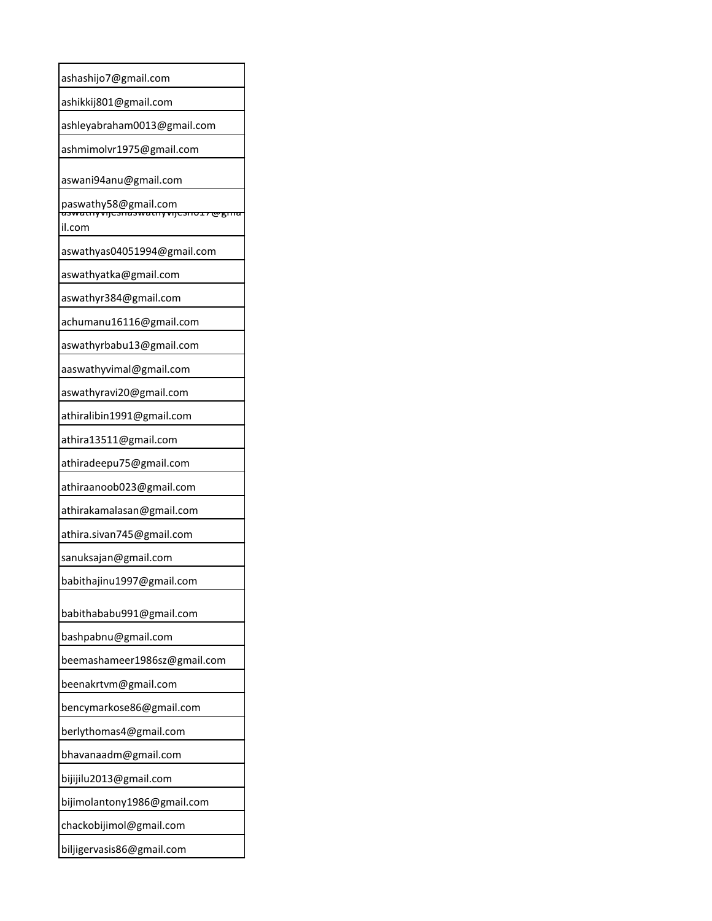| ashashijo7@gmail.com                                            |
|-----------------------------------------------------------------|
| ashikkij801@gmail.com                                           |
| ashleyabraham0013@gmail.com                                     |
| ashmimolvr1975@gmail.com                                        |
| aswani94anu@gmail.com                                           |
| paswathy58@gmail.com<br><del>aswatnyvijesnaswatnyvijesnos</del> |
| ल्ल्हामा<br>il.com                                              |
| aswathyas04051994@gmail.com                                     |
| aswathyatka@gmail.com                                           |
| aswathyr384@gmail.com                                           |
| achumanu16116@gmail.com                                         |
| aswathyrbabu13@gmail.com                                        |
| aaswathyvimal@gmail.com                                         |
| aswathyravi20@gmail.com                                         |
| athiralibin1991@gmail.com                                       |
| athira13511@gmail.com                                           |
| athiradeepu75@gmail.com                                         |
| athiraanoob023@gmail.com                                        |
| athirakamalasan@gmail.com                                       |
| athira.sivan745@gmail.com                                       |
| sanuksajan@gmail.com                                            |
| babithajinu1997@gmail.com                                       |
| babithababu991@gmail.com                                        |
| bashpabnu@gmail.com                                             |
| beemashameer1986sz@gmail.com                                    |
| beenakrtvm@gmail.com                                            |
| bencymarkose86@gmail.com                                        |
| berlythomas4@gmail.com                                          |
| bhavanaadm@gmail.com                                            |
| bijijilu2013@gmail.com                                          |
| bijimolantony1986@gmail.com                                     |
| chackobijimol@gmail.com                                         |
| biljigervasis86@gmail.com                                       |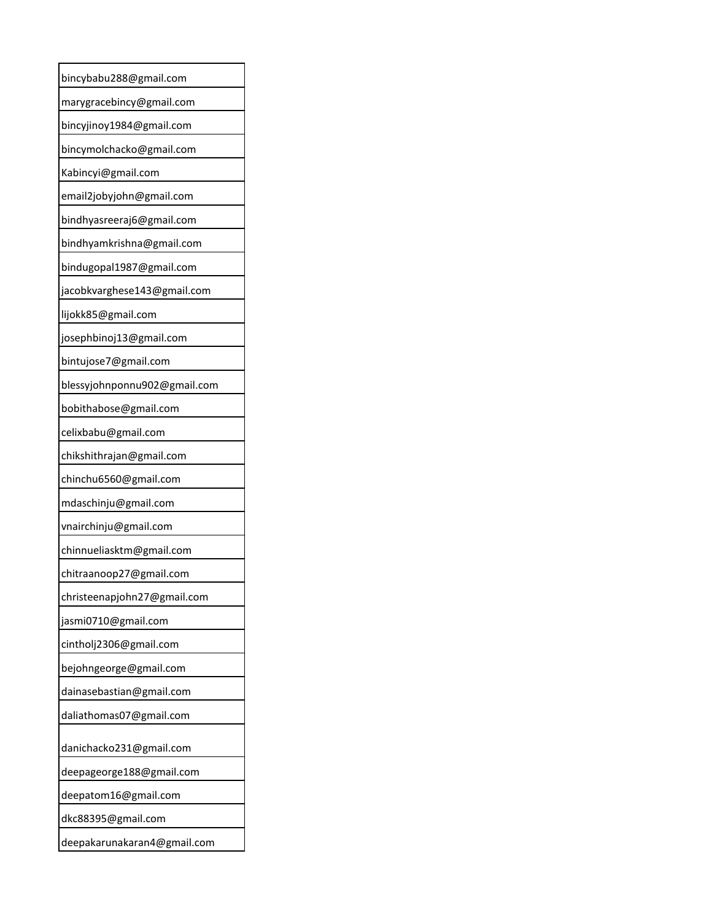| bincybabu288@gmail.com       |
|------------------------------|
| marygracebincy@gmail.com     |
| bincyjinoy1984@gmail.com     |
| bincymolchacko@gmail.com     |
| Kabincyi@gmail.com           |
| email2jobyjohn@gmail.com     |
| bindhyasreeraj6@gmail.com    |
| bindhyamkrishna@gmail.com    |
| bindugopal1987@gmail.com     |
| jacobkvarghese143@gmail.com  |
| lijokk85@gmail.com           |
| josephbinoj13@gmail.com      |
| bintujose7@gmail.com         |
| blessyjohnponnu902@gmail.com |
| bobithabose@gmail.com        |
| celixbabu@gmail.com          |
| chikshithrajan@gmail.com     |
| chinchu6560@gmail.com        |
| mdaschinju@gmail.com         |
| vnairchinju@gmail.com        |
| chinnueliasktm@gmail.com     |
| chitraanoop27@gmail.com      |
| christeenapjohn27@gmail.com  |
| jasmi0710@gmail.com          |
| cintholj2306@gmail.com       |
| bejohngeorge@gmail.com       |
| dainasebastian@gmail.com     |
| daliathomas07@gmail.com      |
| danichacko231@gmail.com      |
| deepageorge188@gmail.com     |
| deepatom16@gmail.com         |
| dkc88395@gmail.com           |
| deepakarunakaran4@gmail.com  |
|                              |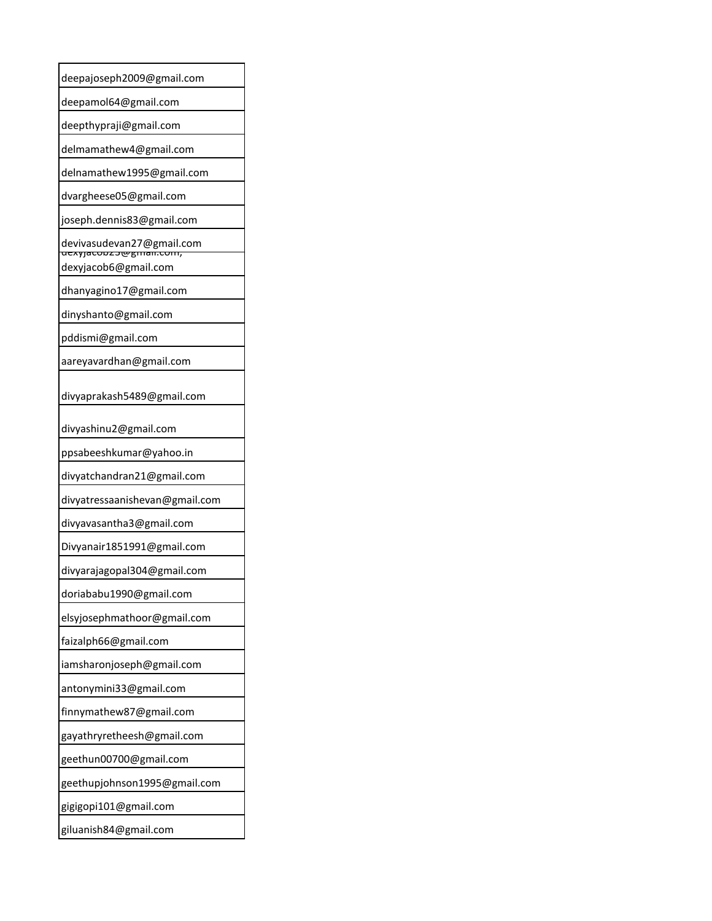| deepajoseph2009@gmail.com                          |
|----------------------------------------------------|
| deepamol64@gmail.com                               |
| deepthypraji@gmail.com                             |
| delmamathew4@gmail.com                             |
| delnamathew1995@gmail.com                          |
| dvargheese05@gmail.com                             |
| joseph.dennis83@gmail.com                          |
| devivasudevan27@gmail.com<br>uexyjacouzbegman.com, |
| dexyjacob6@gmail.com                               |
| dhanyagino17@gmail.com                             |
| dinyshanto@gmail.com                               |
| pddismi@gmail.com                                  |
| aareyavardhan@gmail.com                            |
| divyaprakash5489@gmail.com                         |
| divyashinu2@gmail.com                              |
| ppsabeeshkumar@yahoo.in                            |
| divyatchandran21@gmail.com                         |
| divyatressaanishevan@gmail.com                     |
| divyavasantha3@gmail.com                           |
| Divyanair1851991@gmail.com                         |
| divyarajagopal304@gmail.com                        |
| doriababu1990@gmail.com                            |
| elsyjosephmathoor@gmail.com                        |
| faizalph66@gmail.com                               |
| iamsharonjoseph@gmail.com                          |
| antonymini33@gmail.com                             |
| finnymathew87@gmail.com                            |
| gayathryretheesh@gmail.com                         |
| geethun00700@gmail.com                             |
| geethupjohnson1995@gmail.com                       |
| gigigopi101@gmail.com                              |
| giluanish84@gmail.com                              |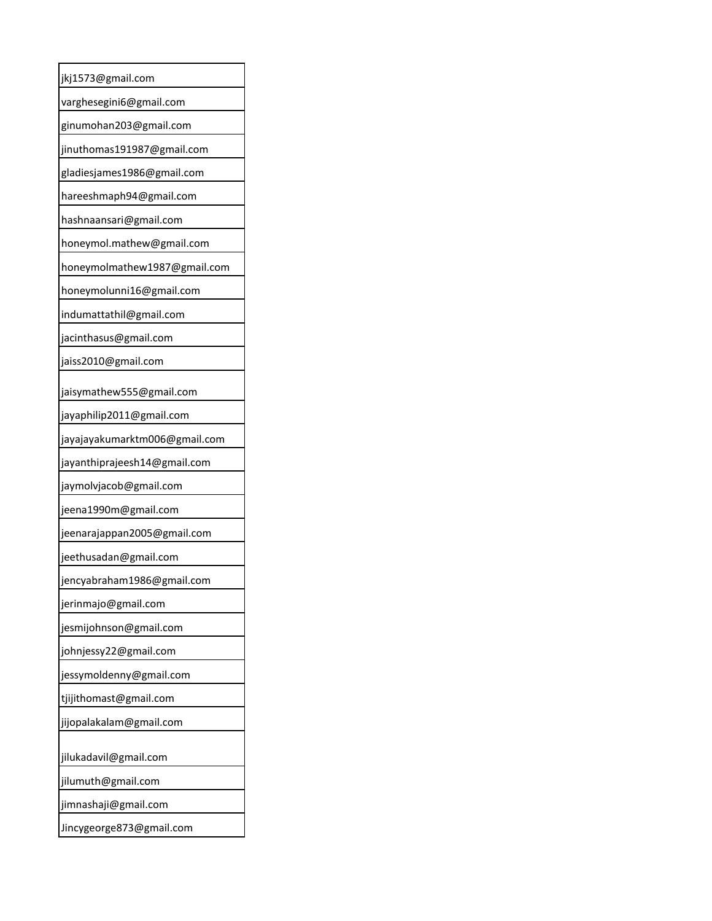| jkj1573@gmail.com             |
|-------------------------------|
| varghesegini6@gmail.com       |
| ginumohan203@gmail.com        |
| jinuthomas191987@gmail.com    |
| gladiesjames1986@gmail.com    |
| hareeshmaph94@gmail.com       |
| hashnaansari@gmail.com        |
| honeymol.mathew@gmail.com     |
| honeymolmathew1987@gmail.com  |
| honeymolunni16@gmail.com      |
| indumattathil@gmail.com       |
| jacinthasus@gmail.com         |
| jaiss2010@gmail.com           |
| jaisymathew555@gmail.com      |
| jayaphilip2011@gmail.com      |
| jayajayakumarktm006@gmail.com |
| jayanthiprajeesh14@gmail.com  |
| jaymolvjacob@gmail.com        |
| jeena1990m@gmail.com          |
| jeenarajappan2005@gmail.com   |
| jeethusadan@gmail.com         |
| jencyabraham1986@gmail.com    |
| jerinmajo@gmail.com           |
| jesmijohnson@gmail.com        |
| johnjessy22@gmail.com         |
| jessymoldenny@gmail.com       |
| tjijithomast@gmail.com        |
| jijopalakalam@gmail.com       |
| jilukadavil@gmail.com         |
| jilumuth@gmail.com            |
| jimnashaji@gmail.com          |
| Jincygeorge873@gmail.com      |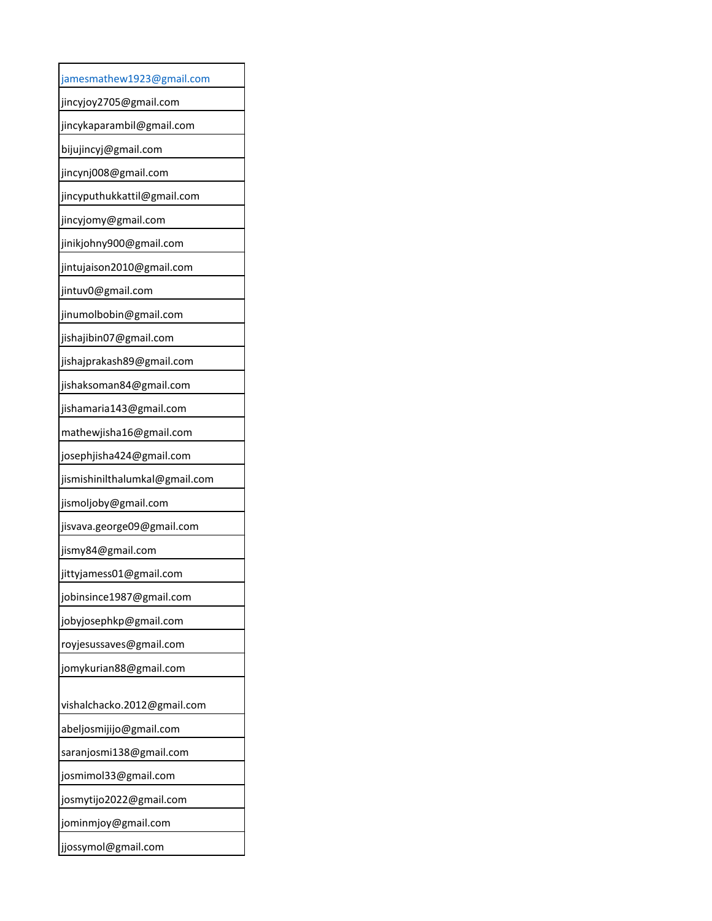| jamesmathew1923@gmail.com      |
|--------------------------------|
| jincyjoy2705@gmail.com         |
| jincykaparambil@gmail.com      |
| bijujincyj@gmail.com           |
| jincynj008@gmail.com           |
| jincyputhukkattil@gmail.com    |
| jincyjomy@gmail.com            |
| jinikjohny900@gmail.com        |
| jintujaison2010@gmail.com      |
| jintuv0@gmail.com              |
| jinumolbobin@gmail.com         |
| jishajibin07@gmail.com         |
| jishajprakash89@gmail.com      |
| jishaksoman84@gmail.com        |
| jishamaria143@gmail.com        |
| mathewjisha16@gmail.com        |
| josephjisha424@gmail.com       |
| jismishinilthalumkal@gmail.com |
| jismoljoby@gmail.com           |
| jisvava.george09@gmail.com     |
| jismy84@gmail.com              |
| jittyjamess01@gmail.com        |
| jobinsince1987@gmail.com       |
| jobyjosephkp@gmail.com         |
| royjesussaves@gmail.com        |
| jomykurian88@gmail.com         |
| vishalchacko.2012@gmail.com    |
| abeljosmijijo@gmail.com        |
| saranjosmi138@gmail.com        |
| josmimol33@gmail.com           |
| josmytijo2022@gmail.com        |
| jominmjoy@gmail.com            |
| jjossymol@gmail.com            |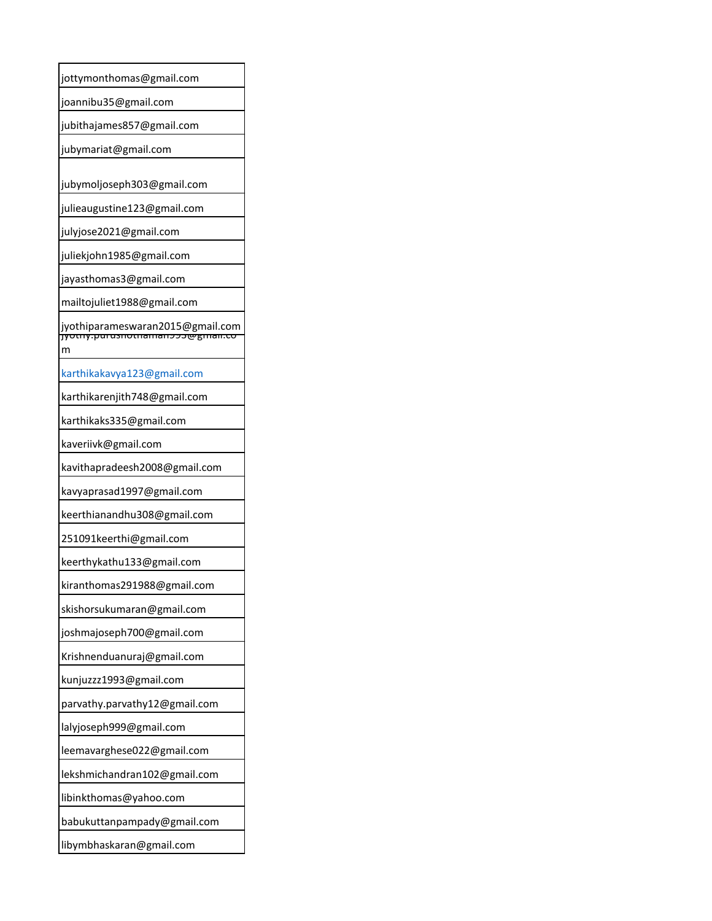| jottymonthomas@gmail.com                                                       |
|--------------------------------------------------------------------------------|
| joannibu35@gmail.com                                                           |
| jubithajames857@gmail.com                                                      |
| jubymariat@gmail.com                                                           |
|                                                                                |
| jubymoljoseph303@gmail.com                                                     |
| julieaugustine123@gmail.com                                                    |
| julyjose2021@gmail.com                                                         |
| juliekjohn1985@gmail.com                                                       |
| jayasthomas3@gmail.com                                                         |
| mailtojuliet1988@gmail.com                                                     |
| jyothiparameswaran2015@gmail.com<br><del>jyotny.purusnotnaman223@gman.co</del> |
| m                                                                              |
|                                                                                |
| karthikakavya123@gmail.com                                                     |
| karthikarenjith748@gmail.com                                                   |
| karthikaks335@gmail.com                                                        |
| kaveriivk@gmail.com                                                            |
| kavithapradeesh2008@gmail.com                                                  |
| kavyaprasad1997@gmail.com                                                      |
| keerthianandhu308@gmail.com                                                    |
| 251091keerthi@gmail.com                                                        |
| keerthykathu133@gmail.com                                                      |
| kiranthomas291988@gmail.com                                                    |
| skishorsukumaran@gmail.com                                                     |
| joshmajoseph700@gmail.com                                                      |
| Krishnenduanuraj@gmail.com                                                     |
| kunjuzzz1993@gmail.com                                                         |
| parvathy.parvathy12@gmail.com                                                  |
| lalyjoseph999@gmail.com                                                        |
| leemavarghese022@gmail.com                                                     |
| lekshmichandran102@gmail.com                                                   |
| libinkthomas@yahoo.com                                                         |
| babukuttanpampady@gmail.com                                                    |
| libymbhaskaran@gmail.com                                                       |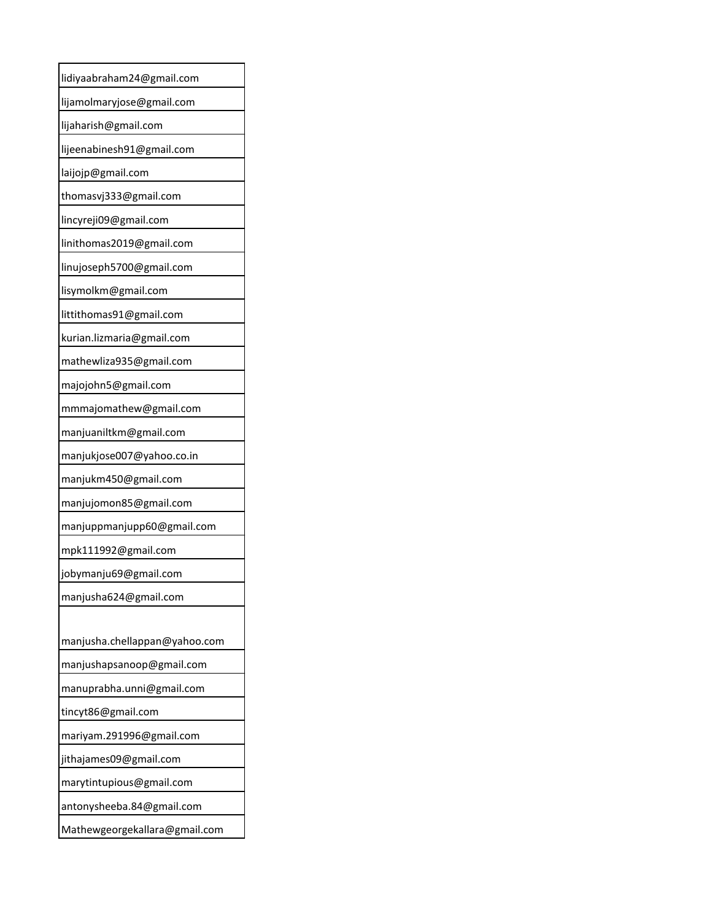| lidiyaabraham24@gmail.com     |
|-------------------------------|
| lijamolmaryjose@gmail.com     |
| lijaharish@gmail.com          |
| lijeenabinesh91@gmail.com     |
| laijojp@gmail.com             |
| thomasvj333@gmail.com         |
| lincyreji09@gmail.com         |
| linithomas2019@gmail.com      |
| linujoseph5700@gmail.com      |
| lisymolkm@gmail.com           |
| littithomas91@gmail.com       |
| kurian.lizmaria@gmail.com     |
| mathewliza935@gmail.com       |
| majojohn5@gmail.com           |
| mmmajomathew@gmail.com        |
| manjuaniltkm@gmail.com        |
| manjukjose007@yahoo.co.in     |
| manjukm450@gmail.com          |
| manjujomon85@gmail.com        |
| manjuppmanjupp60@gmail.com    |
| mpk111992@gmail.com           |
| jobymanju69@gmail.com         |
| manjusha624@gmail.com         |
|                               |
| manjusha.chellappan@yahoo.com |
| manjushapsanoop@gmail.com     |
| manuprabha.unni@gmail.com     |
| tincyt86@gmail.com            |
| mariyam.291996@gmail.com      |
| jithajames09@gmail.com        |
| marytintupious@gmail.com      |
| antonysheeba.84@gmail.com     |
| Mathewgeorgekallara@gmail.com |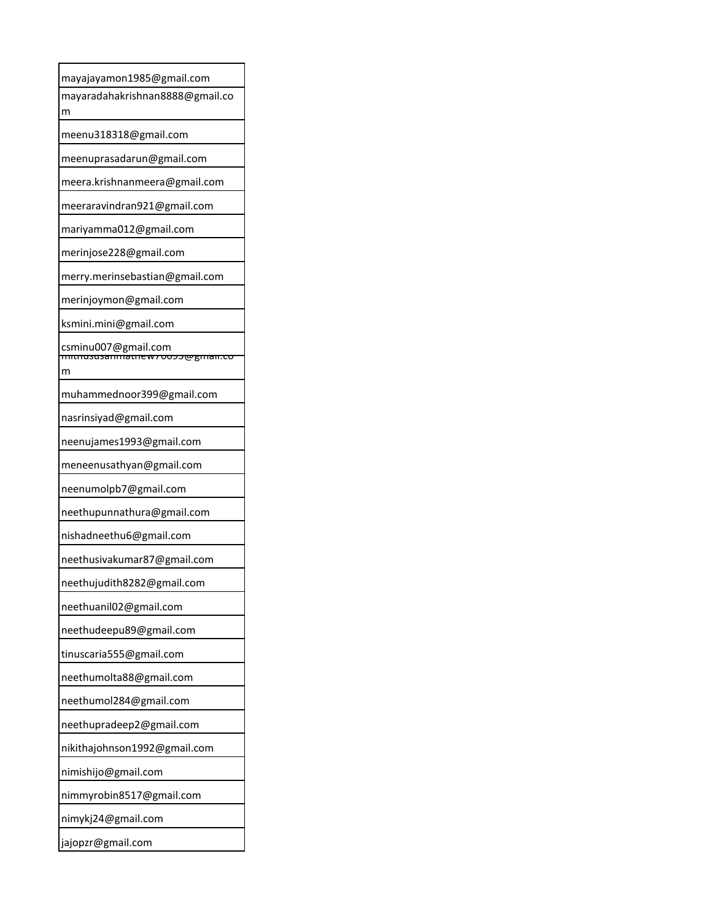| mayajayamon1985@gmail.com                                                     |
|-------------------------------------------------------------------------------|
| mayaradahakrishnan8888@gmail.co<br>m                                          |
| meenu318318@gmail.com                                                         |
| meenuprasadarun@gmail.com                                                     |
| meera.krishnanmeera@gmail.com                                                 |
| meeraravindran921@gmail.com                                                   |
| mariyamma012@gmail.com                                                        |
| merinjose228@gmail.com                                                        |
| merry.merinsebastian@gmail.com                                                |
| merinjoymon@gmail.com                                                         |
| ksmini.mini@gmail.com                                                         |
| csminu007@gmail.com<br><del>munususammaurew700</del><br><del>rooss@gmar</del> |
| m                                                                             |
| muhammednoor399@gmail.com                                                     |
| nasrinsiyad@gmail.com                                                         |
| neenujames1993@gmail.com                                                      |
| meneenusathyan@gmail.com                                                      |
| neenumolpb7@gmail.com                                                         |
| neethupunnathura@gmail.com                                                    |
| nishadneethu6@gmail.com                                                       |
| neethusivakumar87@gmail.com                                                   |
| neethujudith8282@gmail.com                                                    |
| neethuanil02@gmail.com                                                        |
| neethudeepu89@gmail.com                                                       |
| tinuscaria555@gmail.com                                                       |
| neethumolta88@gmail.com                                                       |
| neethumol284@gmail.com                                                        |
| neethupradeep2@gmail.com                                                      |
| nikithajohnson1992@gmail.com                                                  |
| nimishijo@gmail.com                                                           |
| nimmyrobin8517@gmail.com                                                      |
| nimykj24@gmail.com                                                            |
| jajopzr@gmail.com                                                             |
|                                                                               |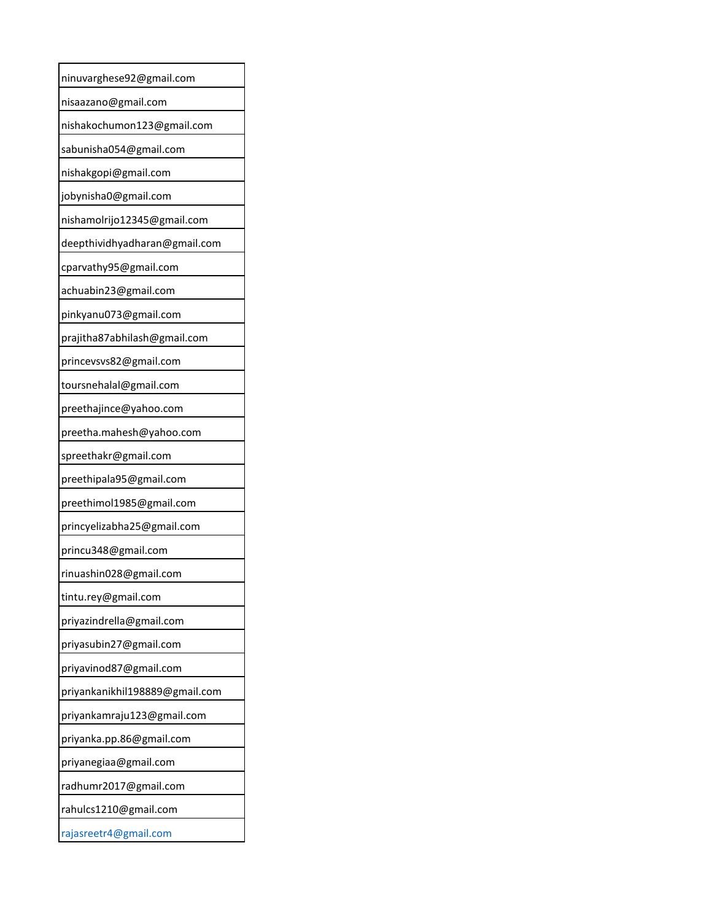| ninuvarghese92@gmail.com       |
|--------------------------------|
| nisaazano@gmail.com            |
| nishakochumon123@gmail.com     |
| sabunisha054@gmail.com         |
| nishakgopi@gmail.com           |
| jobynisha0@gmail.com           |
| nishamolrijo12345@gmail.com    |
| deepthividhyadharan@gmail.com  |
| cparvathy95@gmail.com          |
| achuabin23@gmail.com           |
| pinkyanu073@gmail.com          |
| prajitha87abhilash@gmail.com   |
| princevsvs82@gmail.com         |
| toursnehalal@gmail.com         |
| preethajince@yahoo.com         |
| preetha.mahesh@yahoo.com       |
| spreethakr@gmail.com           |
| preethipala95@gmail.com        |
| preethimol1985@gmail.com       |
| princyelizabha25@gmail.com     |
| princu348@gmail.com            |
| rinuashin028@gmail.com         |
| tintu.rey@gmail.com            |
| priyazindrella@gmail.com       |
| priyasubin27@gmail.com         |
| priyavinod87@gmail.com         |
| priyankanikhil198889@gmail.com |
| priyankamraju123@gmail.com     |
| priyanka.pp.86@gmail.com       |
| priyanegiaa@gmail.com          |
| radhumr2017@gmail.com          |
| rahulcs1210@gmail.com          |
| rajasreetr4@gmail.com          |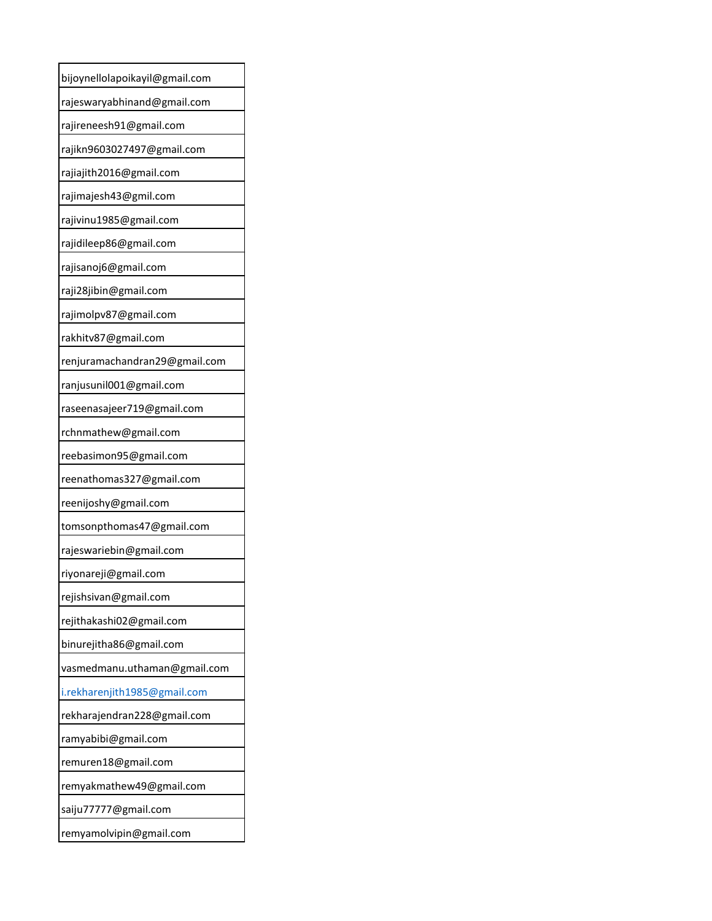| bijoynellolapoikayil@gmail.com |
|--------------------------------|
| rajeswaryabhinand@gmail.com    |
| rajireneesh91@gmail.com        |
| rajikn9603027497@gmail.com     |
| rajiajith2016@gmail.com        |
| rajimajesh43@gmil.com          |
| rajivinu1985@gmail.com         |
| rajidileep86@gmail.com         |
| rajisanoj6@gmail.com           |
| raji28jibin@gmail.com          |
| rajimolpv87@gmail.com          |
| rakhitv87@gmail.com            |
| renjuramachandran29@gmail.com  |
| ranjusunil001@gmail.com        |
| raseenasajeer719@gmail.com     |
| rchnmathew@gmail.com           |
| reebasimon95@gmail.com         |
| reenathomas327@gmail.com       |
| reenijoshy@gmail.com           |
| tomsonpthomas47@gmail.com      |
| rajeswariebin@gmail.com        |
| riyonareji@gmail.com           |
| rejishsivan@gmail.com          |
| rejithakashi02@gmail.com       |
| binurejitha86@gmail.com        |
| vasmedmanu.uthaman@gmail.com   |
| i.rekharenjith1985@gmail.com   |
| rekharajendran228@gmail.com    |
| ramyabibi@gmail.com            |
| remuren18@gmail.com            |
| remyakmathew49@gmail.com       |
| saiju77777@gmail.com           |
| remyamolvipin@gmail.com        |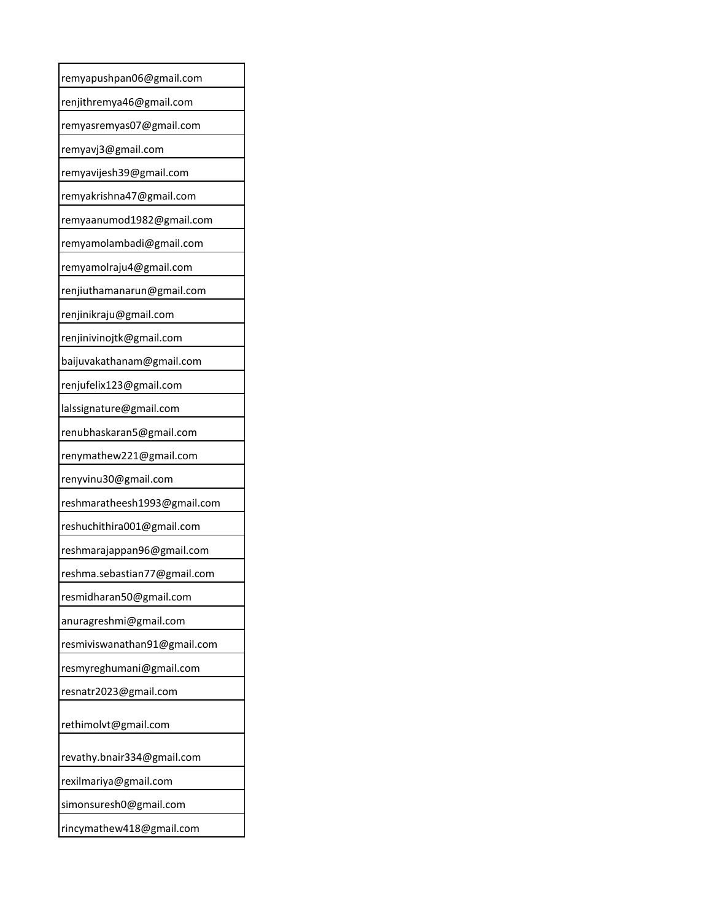| remyapushpan06@gmail.com     |
|------------------------------|
| renjithremya46@gmail.com     |
| remyasremyas07@gmail.com     |
| remyavj3@gmail.com           |
| remyavijesh39@gmail.com      |
| remyakrishna47@gmail.com     |
| remyaanumod1982@gmail.com    |
| remyamolambadi@gmail.com     |
| remyamolraju4@gmail.com      |
| renjiuthamanarun@gmail.com   |
| renjinikraju@gmail.com       |
| renjinivinojtk@gmail.com     |
| baijuvakathanam@gmail.com    |
| renjufelix123@gmail.com      |
| lalssignature@gmail.com      |
| renubhaskaran5@gmail.com     |
| renymathew221@gmail.com      |
| renyvinu30@gmail.com         |
| reshmaratheesh1993@gmail.com |
| reshuchithira001@gmail.com   |
| reshmarajappan96@gmail.com   |
| reshma.sebastian77@gmail.com |
| resmidharan50@gmail.com      |
| anuragreshmi@gmail.com       |
| resmiviswanathan91@gmail.com |
| resmyreghumani@gmail.com     |
| resnatr2023@gmail.com        |
| rethimolvt@gmail.com         |
| revathy.bnair334@gmail.com   |
| rexilmariya@gmail.com        |
| simonsuresh0@gmail.com       |
| rincymathew418@gmail.com     |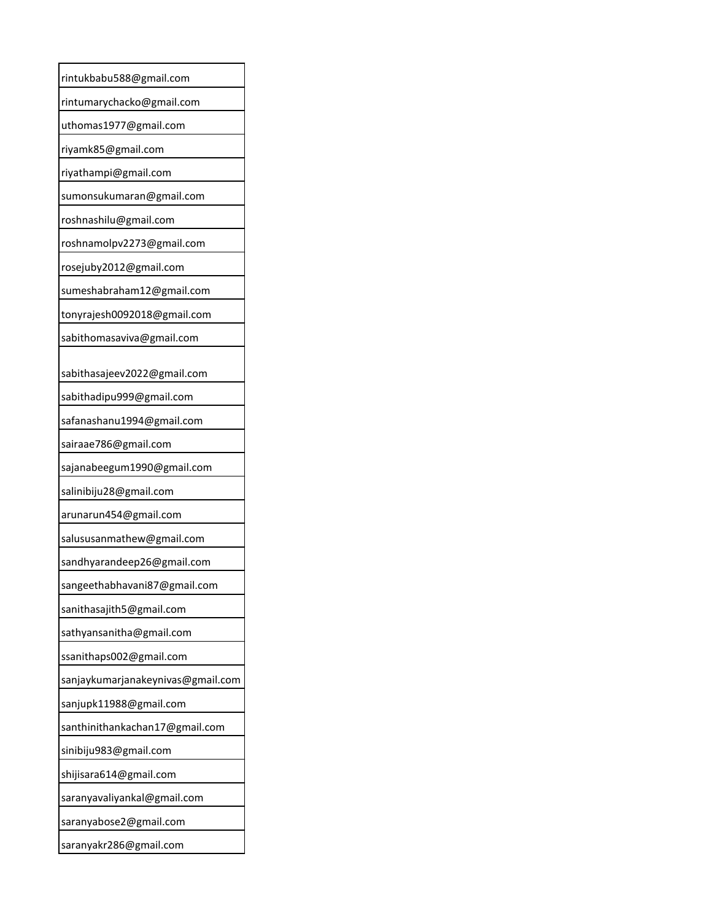| rintukbabu588@gmail.com                            |
|----------------------------------------------------|
| rintumarychacko@gmail.com                          |
| uthomas1977@gmail.com                              |
| riyamk85@gmail.com                                 |
| riyathampi@gmail.com                               |
| sumonsukumaran@gmail.com                           |
| roshnashilu@gmail.com                              |
| roshnamolpv2273@gmail.com                          |
| rosejuby2012@gmail.com                             |
| sumeshabraham12@gmail.com                          |
| tonyrajesh0092018@gmail.com                        |
| sabithomasaviva@gmail.com                          |
|                                                    |
| sabithasajeev2022@gmail.com                        |
| sabithadipu999@gmail.com                           |
| safanashanu1994@gmail.com                          |
| sairaae786@gmail.com                               |
| sajanabeegum1990@gmail.com                         |
| salinibiju28@gmail.com                             |
| arunarun454@gmail.com<br>salususanmathew@gmail.com |
|                                                    |
| sandhyarandeep26@gmail.com                         |
| sangeethabhavani87@gmail.co                        |
| sanithasajith5@gmail.com                           |
| sathyansanitha@gmail.com                           |
| ssanithaps002@gmail.com                            |
| sanjaykumarjanakeynivas@gmail.com                  |
| sanjupk11988@gmail.com                             |
| santhinithankachan17@gmail.com                     |
| sinibiju983@gmail.com                              |
| shijisara614@gmail.com                             |
| saranyavaliyankal@gmail.com                        |
| saranyabose2@gmail.com                             |
| saranyakr286@gmail.com                             |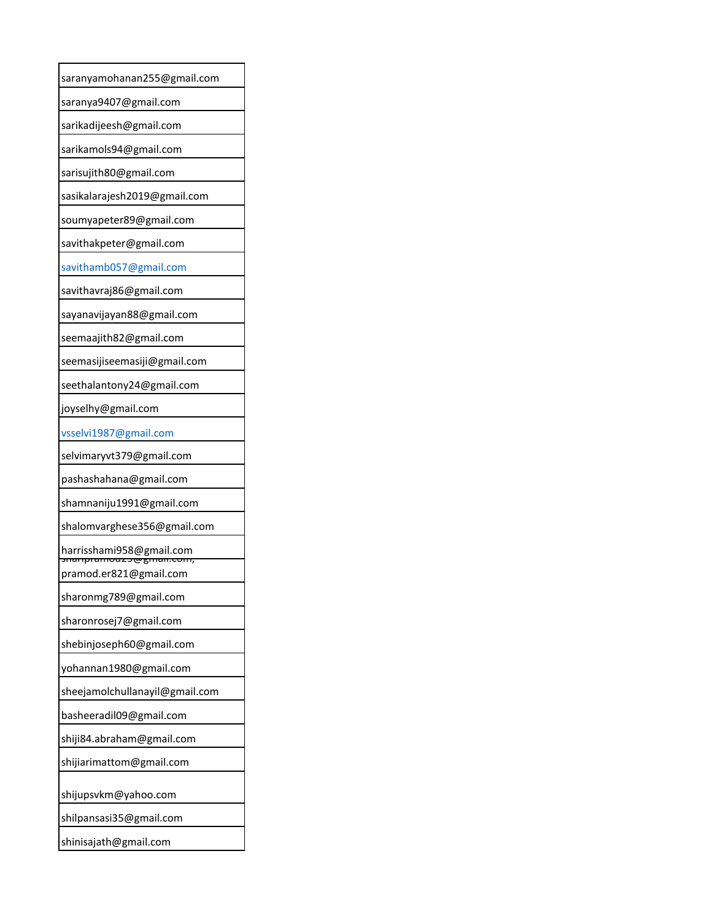| saranyamohanan255@gmail.com                                  |
|--------------------------------------------------------------|
| saranya9407@gmail.com                                        |
| sarikadijeesh@gmail.com                                      |
| sarikamols94@gmail.com                                       |
| sarisujith80@gmail.com                                       |
| sasikalarajesh2019@gmail.com                                 |
| soumyapeter89@gmail.com                                      |
| savithakpeter@gmail.com                                      |
| savithamb057@gmail.com                                       |
| savithavraj86@gmail.com                                      |
| sayanavijayan88@gmail.com                                    |
| seemaajith82@gmail.com                                       |
| seemasijiseemasiji@gmail.com                                 |
| seethalantony24@gmail.com                                    |
| joyselhy@gmail.com                                           |
| vsselvi1987@gmail.com                                        |
| selvimaryvt379@gmail.com                                     |
| pashashahana@gmail.com                                       |
| shamnaniju1991@gmail.com                                     |
| shalomvarghese356@gmail.com                                  |
| harrisshami958@gmail.com<br><del>ianpiamouzb@gman.com,</del> |
| pramod.er821@gmail.com                                       |
| sharonmg789@gmail.com                                        |
| sharonrosej7@gmail.com                                       |
| shebinjoseph60@gmail.com                                     |
| yohannan1980@gmail.com                                       |
| sheejamolchullanayil@gmail.com                               |
| basheeradil09@gmail.com                                      |
| shiji84.abraham@gmail.com                                    |
| shijiarimattom@gmail.com                                     |
| shijupsvkm@yahoo.com                                         |
| shilpansasi35@gmail.com                                      |
| shinisajath@gmail.com                                        |
|                                                              |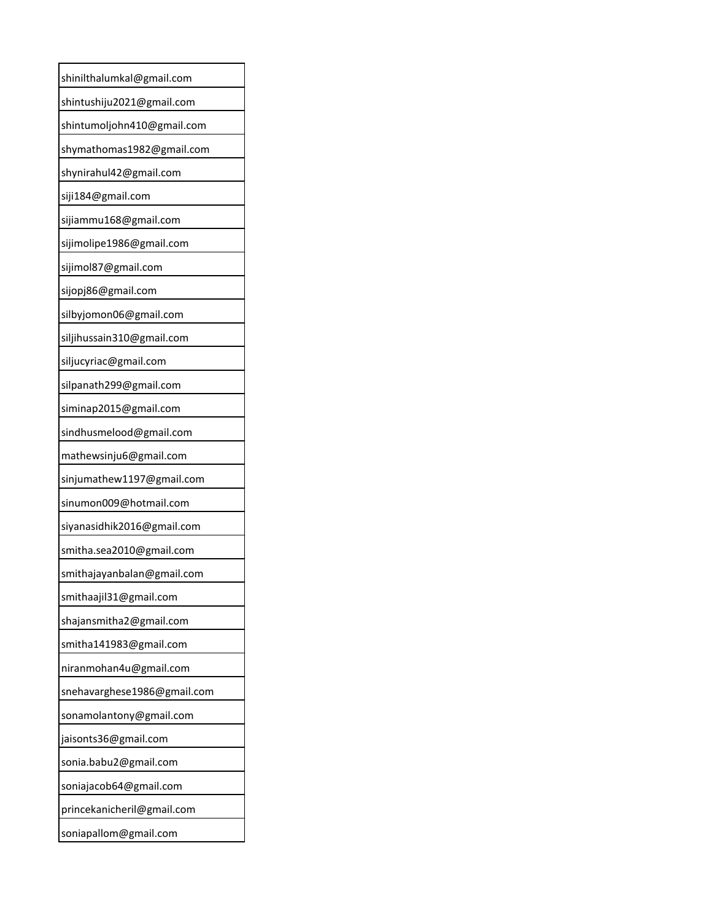| shinilthalumkal@gmail.com   |
|-----------------------------|
| shintushiju2021@gmail.com   |
| shintumoljohn410@gmail.com  |
| shymathomas1982@gmail.com   |
| shynirahul42@gmail.com      |
| siji184@gmail.com           |
| sijiammu168@gmail.com       |
| sijimolipe1986@gmail.com    |
| sijimol87@gmail.com         |
| sijopj86@gmail.com          |
| silbyjomon06@gmail.com      |
| siljihussain310@gmail.com   |
| siljucyriac@gmail.com       |
| silpanath299@gmail.com      |
| siminap2015@gmail.com       |
| sindhusmelood@gmail.com     |
| mathewsinju6@gmail.com      |
| sinjumathew1197@gmail.com   |
| sinumon009@hotmail.com      |
| siyanasidhik2016@gmail.com  |
| smitha.sea2010@gmail.com    |
| smithajayanbalan@gmail.com  |
| smithaajil31@gmail.com      |
| shajansmitha2@gmail.com     |
| smitha141983@gmail.com      |
| niranmohan4u@gmail.com      |
| snehavarghese1986@gmail.com |
| sonamolantony@gmail.com     |
| jaisonts36@gmail.com        |
| sonia.babu2@gmail.com       |
| soniajacob64@gmail.com      |
| princekanicheril@gmail.com  |
| soniapallom@gmail.com       |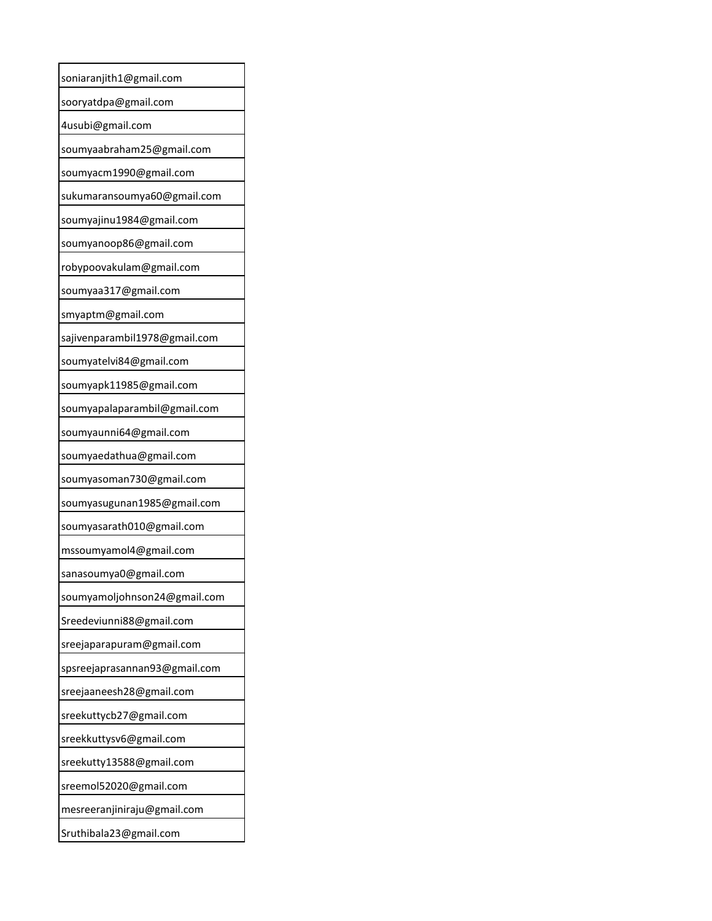| soniaranjith1@gmail.com       |
|-------------------------------|
| sooryatdpa@gmail.com          |
| 4usubi@gmail.com              |
| soumyaabraham25@gmail.com     |
| soumyacm1990@gmail.com        |
| sukumaransoumya60@gmail.com   |
| soumyajinu1984@gmail.com      |
| soumyanoop86@gmail.com        |
| robypoovakulam@gmail.com      |
| soumyaa317@gmail.com          |
| smyaptm@gmail.com             |
| sajivenparambil1978@gmail.com |
| soumyatelvi84@gmail.com       |
| soumyapk11985@gmail.com       |
| soumyapalaparambil@gmail.com  |
| soumyaunni64@gmail.com        |
| soumyaedathua@gmail.com       |
| soumyasoman730@gmail.com      |
| soumyasugunan1985@gmail.com   |
| soumyasarath010@gmail.com     |
| mssoumyamol4@gmail.com        |
| sanasoumya0@gmail.com         |
| soumyamoljohnson24@gmail.com  |
| Sreedeviunni88@gmail.com      |
| sreejaparapuram@gmail.com     |
| spsreejaprasannan93@gmail.com |
| sreejaaneesh28@gmail.com      |
| sreekuttycb27@gmail.com       |
| sreekkuttysv6@gmail.com       |
| sreekutty13588@gmail.com      |
| sreemol52020@gmail.com        |
| mesreeranjiniraju@gmail.com   |
| Sruthibala23@gmail.com        |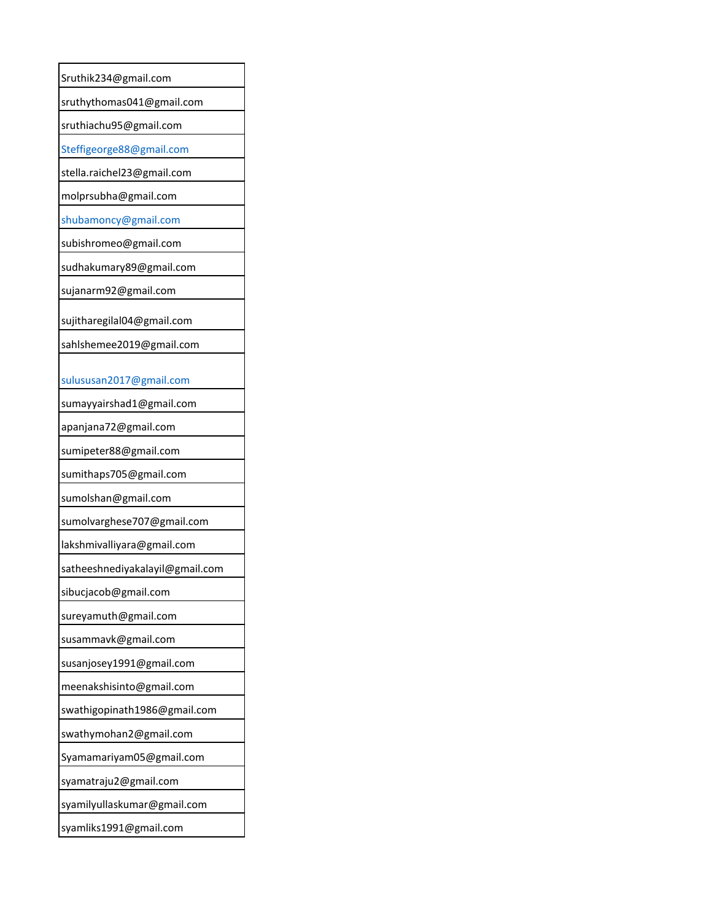| Sruthik234@gmail.com            |
|---------------------------------|
| sruthythomas041@gmail.com       |
| sruthiachu95@gmail.com          |
| Steffigeorge88@gmail.com        |
| stella.raichel23@gmail.com      |
| molprsubha@gmail.com            |
| shubamoncy@gmail.com            |
| subishromeo@gmail.com           |
| sudhakumary89@gmail.com         |
| sujanarm92@gmail.com            |
| sujitharegilal04@gmail.com      |
| sahlshemee2019@gmail.com        |
|                                 |
| sulususan2017@gmail.com         |
| sumayyairshad1@gmail.com        |
| apanjana72@gmail.com            |
| sumipeter88@gmail.com           |
| sumithaps705@gmail.com          |
| sumolshan@gmail.com             |
| sumolvarghese707@gmail.com      |
| lakshmivalliyara@gmail.com      |
| satheeshnediyakalayil@gmail.com |
| sibucjacob@gmail.com            |
| sureyamuth@gmail.com            |
| susammavk@gmail.com             |
| susanjosey1991@gmail.com        |
| meenakshisinto@gmail.com        |
| swathigopinath1986@gmail.com    |
| swathymohan2@gmail.com          |
| Syamamariyam05@gmail.com        |
| syamatraju2@gmail.com           |
| syamilyullaskumar@gmail.com     |
| syamliks1991@gmail.com          |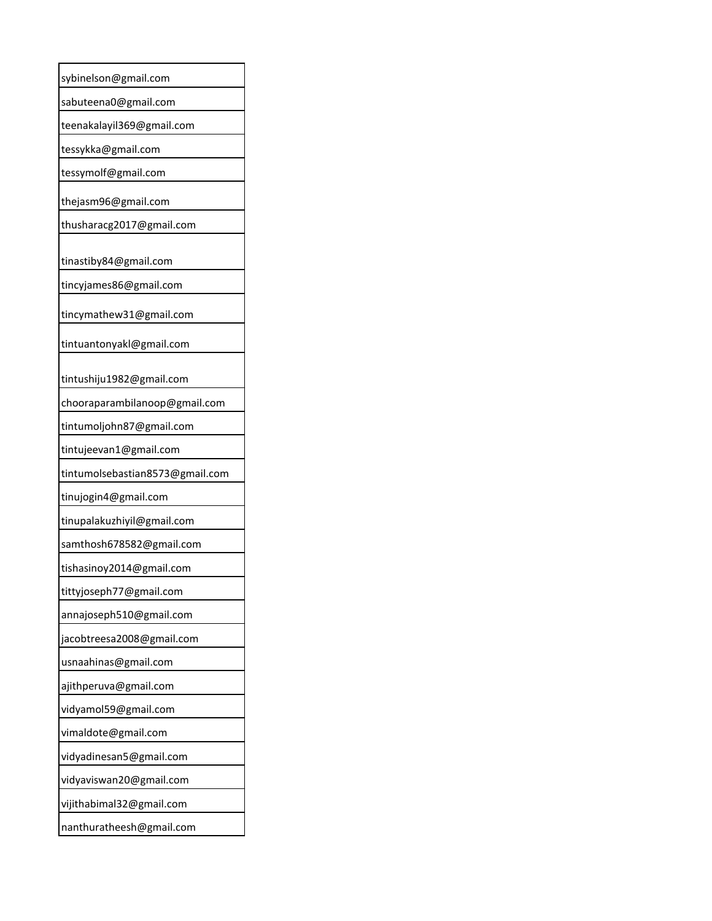| sybinelson@gmail.com            |
|---------------------------------|
| sabuteena0@gmail.com            |
| teenakalayil369@gmail.com       |
| tessykka@gmail.com              |
| tessymolf@gmail.com             |
| thejasm96@gmail.com             |
| thusharacg2017@gmail.com        |
| tinastiby84@gmail.com           |
| tincyjames86@gmail.com          |
| tincymathew31@gmail.com         |
| tintuantonyakl@gmail.com        |
| tintushiju1982@gmail.com        |
| chooraparambilanoop@gmail.com   |
| tintumoljohn87@gmail.com        |
| tintujeevan1@gmail.com          |
| tintumolsebastian8573@gmail.com |
| tinujogin4@gmail.com            |
| tinupalakuzhiyil@gmail.com      |
| samthosh678582@gmail.com        |
| tishasinoy2014@gmail.com        |
| tittyjoseph77@gmail.com         |
| annajoseph510@gmail.com         |
| jacobtreesa2008@gmail.com       |
| usnaahinas@gmail.com            |
| ajithperuva@gmail.com           |
| vidyamol59@gmail.com            |
| vimaldote@gmail.com             |
| vidyadinesan5@gmail.com         |
| vidyaviswan20@gmail.com         |
| vijithabimal32@gmail.com        |
| nanthuratheesh@gmail.com        |